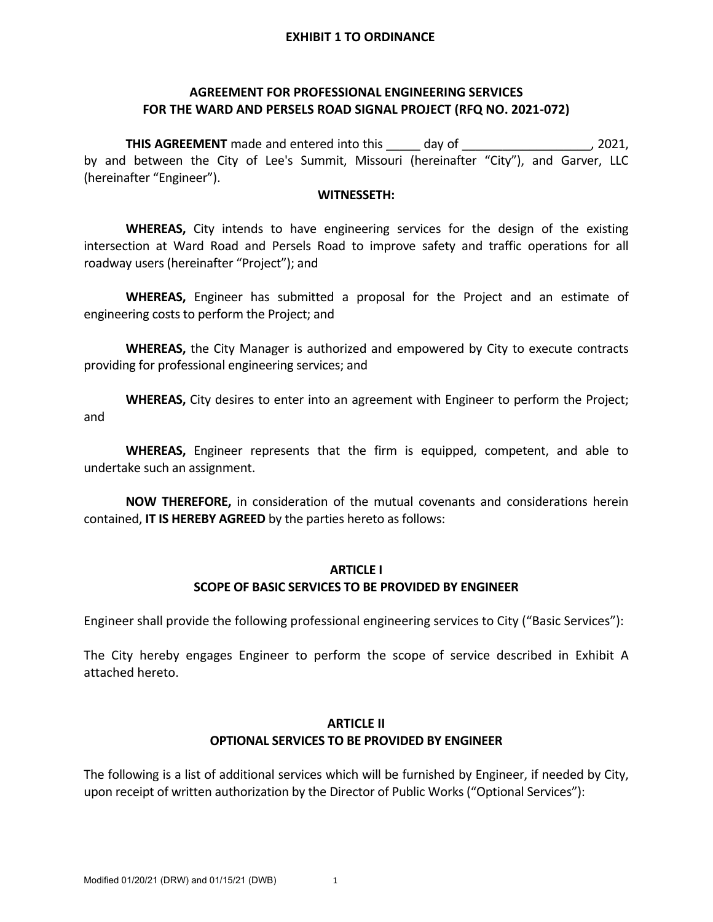### **AGREEMENT FOR PROFESSIONAL ENGINEERING SERVICES FOR THE WARD AND PERSELS ROAD SIGNAL PROJECT (RFQ NO. 2021‐072)**

**THIS AGREEMENT** made and entered into this day of the match of the match of the match of the match of the match of the match of the match of the match of the match of the match of the match of the match of the match of th by and between the City of Lee's Summit, Missouri (hereinafter "City"), and Garver, LLC (hereinafter "Engineer").

#### **WITNESSETH:**

**WHEREAS,** City intends to have engineering services for the design of the existing intersection at Ward Road and Persels Road to improve safety and traffic operations for all roadway users (hereinafter "Project"); and

**WHEREAS,** Engineer has submitted a proposal for the Project and an estimate of engineering costs to perform the Project; and

**WHEREAS,** the City Manager is authorized and empowered by City to execute contracts providing for professional engineering services; and

**WHEREAS,** City desires to enter into an agreement with Engineer to perform the Project; and

**WHEREAS,** Engineer represents that the firm is equipped, competent, and able to undertake such an assignment.

**NOW THEREFORE,** in consideration of the mutual covenants and considerations herein contained, **IT IS HEREBY AGREED** by the parties hereto as follows:

#### **ARTICLE I**

### **SCOPE OF BASIC SERVICES TO BE PROVIDED BY ENGINEER**

Engineer shall provide the following professional engineering services to City ("Basic Services"):

The City hereby engages Engineer to perform the scope of service described in Exhibit A attached hereto.

#### **ARTICLE II OPTIONAL SERVICES TO BE PROVIDED BY ENGINEER**

The following is a list of additional services which will be furnished by Engineer, if needed by City, upon receipt of written authorization by the Director of Public Works ("Optional Services"):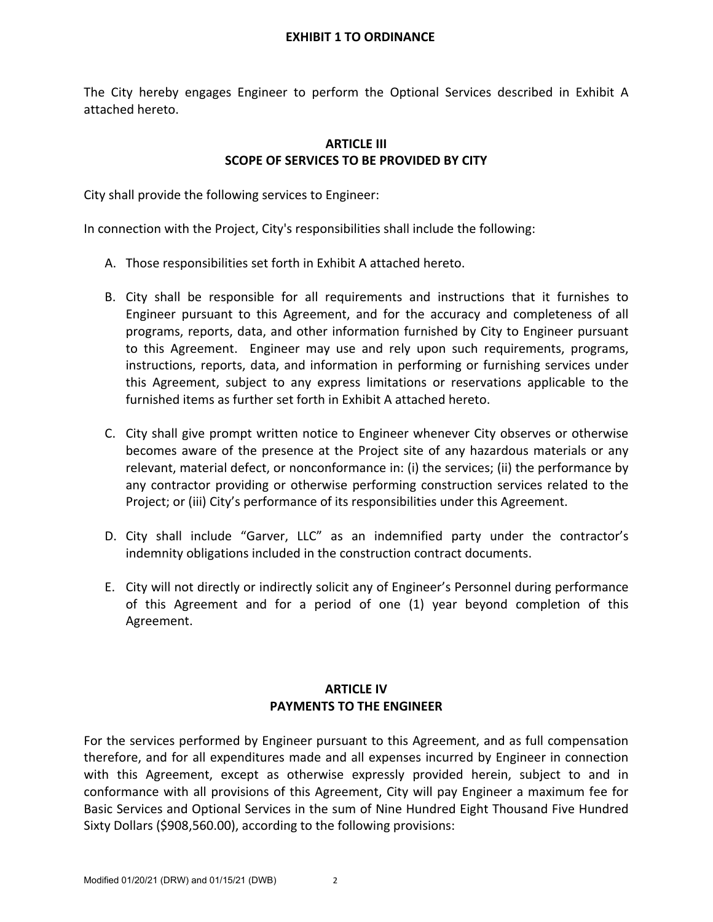The City hereby engages Engineer to perform the Optional Services described in Exhibit A attached hereto.

### **ARTICLE III SCOPE OF SERVICES TO BE PROVIDED BY CITY**

City shall provide the following services to Engineer:

In connection with the Project, City's responsibilities shall include the following:

- A. Those responsibilities set forth in Exhibit A attached hereto.
- B. City shall be responsible for all requirements and instructions that it furnishes to Engineer pursuant to this Agreement, and for the accuracy and completeness of all programs, reports, data, and other information furnished by City to Engineer pursuant to this Agreement. Engineer may use and rely upon such requirements, programs, instructions, reports, data, and information in performing or furnishing services under this Agreement, subject to any express limitations or reservations applicable to the furnished items as further set forth in Exhibit A attached hereto.
- C. City shall give prompt written notice to Engineer whenever City observes or otherwise becomes aware of the presence at the Project site of any hazardous materials or any relevant, material defect, or nonconformance in: (i) the services; (ii) the performance by any contractor providing or otherwise performing construction services related to the Project; or (iii) City's performance of its responsibilities under this Agreement.
- D. City shall include "Garver, LLC" as an indemnified party under the contractor's indemnity obligations included in the construction contract documents.
- E. City will not directly or indirectly solicit any of Engineer's Personnel during performance of this Agreement and for a period of one (1) year beyond completion of this Agreement.

### **ARTICLE IV PAYMENTS TO THE ENGINEER**

For the services performed by Engineer pursuant to this Agreement, and as full compensation therefore, and for all expenditures made and all expenses incurred by Engineer in connection with this Agreement, except as otherwise expressly provided herein, subject to and in conformance with all provisions of this Agreement, City will pay Engineer a maximum fee for Basic Services and Optional Services in the sum of Nine Hundred Eight Thousand Five Hundred Sixty Dollars (\$908,560.00), according to the following provisions: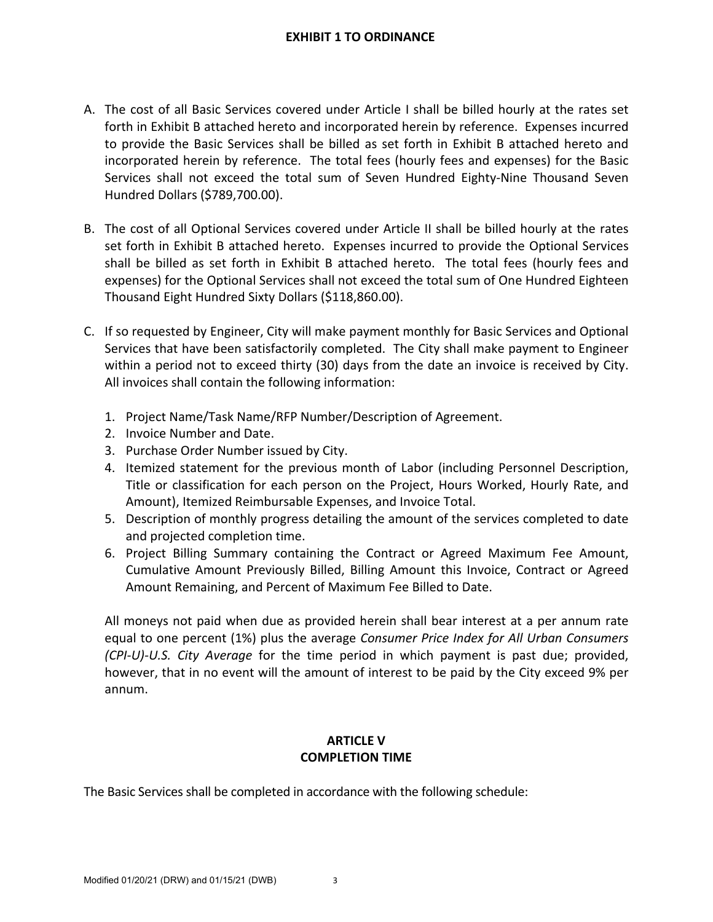- A. The cost of all Basic Services covered under Article I shall be billed hourly at the rates set forth in Exhibit B attached hereto and incorporated herein by reference. Expenses incurred to provide the Basic Services shall be billed as set forth in Exhibit B attached hereto and incorporated herein by reference. The total fees (hourly fees and expenses) for the Basic Services shall not exceed the total sum of Seven Hundred Eighty‐Nine Thousand Seven Hundred Dollars (\$789,700.00).
- B. The cost of all Optional Services covered under Article II shall be billed hourly at the rates set forth in Exhibit B attached hereto. Expenses incurred to provide the Optional Services shall be billed as set forth in Exhibit B attached hereto. The total fees (hourly fees and expenses) for the Optional Services shall not exceed the total sum of One Hundred Eighteen Thousand Eight Hundred Sixty Dollars (\$118,860.00).
- C. If so requested by Engineer, City will make payment monthly for Basic Services and Optional Services that have been satisfactorily completed. The City shall make payment to Engineer within a period not to exceed thirty (30) days from the date an invoice is received by City. All invoices shall contain the following information:
	- 1. Project Name/Task Name/RFP Number/Description of Agreement.
	- 2. Invoice Number and Date.
	- 3. Purchase Order Number issued by City.
	- 4. Itemized statement for the previous month of Labor (including Personnel Description, Title or classification for each person on the Project, Hours Worked, Hourly Rate, and Amount), Itemized Reimbursable Expenses, and Invoice Total.
	- 5. Description of monthly progress detailing the amount of the services completed to date and projected completion time.
	- 6. Project Billing Summary containing the Contract or Agreed Maximum Fee Amount, Cumulative Amount Previously Billed, Billing Amount this Invoice, Contract or Agreed Amount Remaining, and Percent of Maximum Fee Billed to Date.

All moneys not paid when due as provided herein shall bear interest at a per annum rate equal to one percent (1%) plus the average *Consumer Price Index for All Urban Consumers (CPI‐U)‐U.S. City Average* for the time period in which payment is past due; provided, however, that in no event will the amount of interest to be paid by the City exceed 9% per annum.

### **ARTICLE V COMPLETION TIME**

The Basic Services shall be completed in accordance with the following schedule: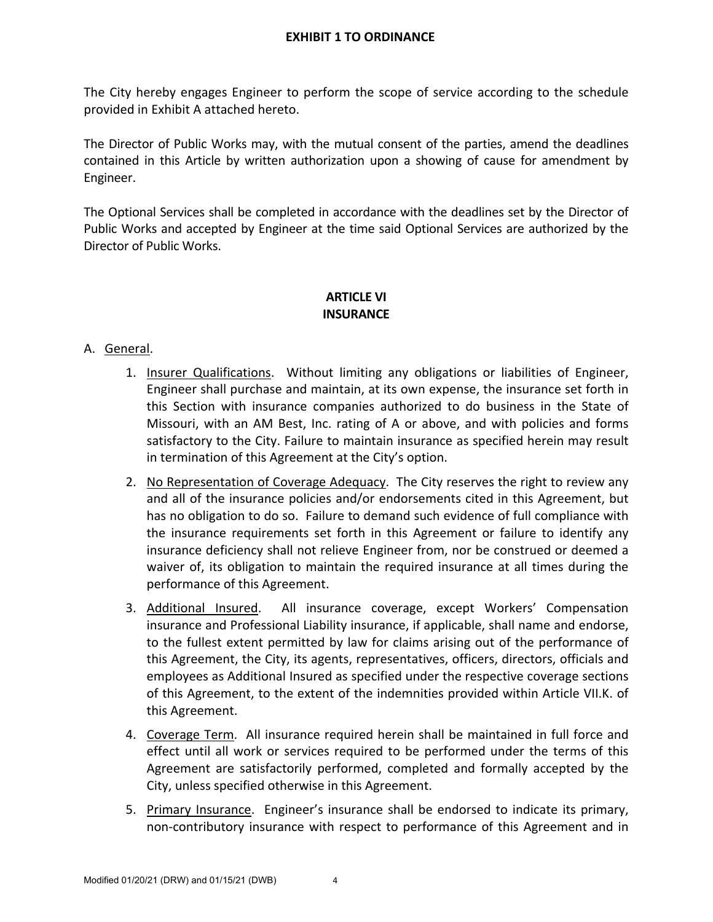The City hereby engages Engineer to perform the scope of service according to the schedule provided in Exhibit A attached hereto.

The Director of Public Works may, with the mutual consent of the parties, amend the deadlines contained in this Article by written authorization upon a showing of cause for amendment by Engineer.

The Optional Services shall be completed in accordance with the deadlines set by the Director of Public Works and accepted by Engineer at the time said Optional Services are authorized by the Director of Public Works.

### **ARTICLE VI INSURANCE**

### A. General.

- 1. Insurer Qualifications. Without limiting any obligations or liabilities of Engineer, Engineer shall purchase and maintain, at its own expense, the insurance set forth in this Section with insurance companies authorized to do business in the State of Missouri, with an AM Best, Inc. rating of A or above, and with policies and forms satisfactory to the City. Failure to maintain insurance as specified herein may result in termination of this Agreement at the City's option.
- 2. No Representation of Coverage Adequacy. The City reserves the right to review any and all of the insurance policies and/or endorsements cited in this Agreement, but has no obligation to do so. Failure to demand such evidence of full compliance with the insurance requirements set forth in this Agreement or failure to identify any insurance deficiency shall not relieve Engineer from, nor be construed or deemed a waiver of, its obligation to maintain the required insurance at all times during the performance of this Agreement.
- 3. Additional Insured. All insurance coverage, except Workers' Compensation insurance and Professional Liability insurance, if applicable, shall name and endorse, to the fullest extent permitted by law for claims arising out of the performance of this Agreement, the City, its agents, representatives, officers, directors, officials and employees as Additional Insured as specified under the respective coverage sections of this Agreement, to the extent of the indemnities provided within Article VII.K. of this Agreement.
- 4. Coverage Term. All insurance required herein shall be maintained in full force and effect until all work or services required to be performed under the terms of this Agreement are satisfactorily performed, completed and formally accepted by the City, unless specified otherwise in this Agreement.
- 5. Primary Insurance. Engineer's insurance shall be endorsed to indicate its primary, non‐contributory insurance with respect to performance of this Agreement and in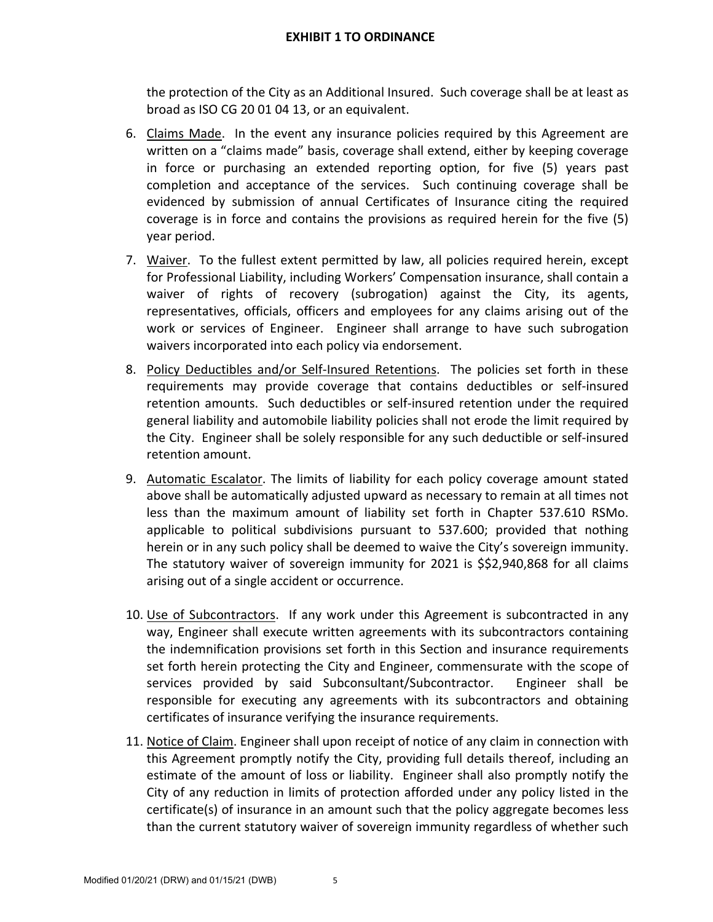the protection of the City as an Additional Insured. Such coverage shall be at least as broad as ISO CG 20 01 04 13, or an equivalent.

- 6. Claims Made. In the event any insurance policies required by this Agreement are written on a "claims made" basis, coverage shall extend, either by keeping coverage in force or purchasing an extended reporting option, for five (5) years past completion and acceptance of the services. Such continuing coverage shall be evidenced by submission of annual Certificates of Insurance citing the required coverage is in force and contains the provisions as required herein for the five (5) year period.
- 7. Waiver. To the fullest extent permitted by law, all policies required herein, except for Professional Liability, including Workers' Compensation insurance, shall contain a waiver of rights of recovery (subrogation) against the City, its agents, representatives, officials, officers and employees for any claims arising out of the work or services of Engineer. Engineer shall arrange to have such subrogation waivers incorporated into each policy via endorsement.
- 8. Policy Deductibles and/or Self-Insured Retentions. The policies set forth in these requirements may provide coverage that contains deductibles or self‐insured retention amounts. Such deductibles or self-insured retention under the required general liability and automobile liability policies shall not erode the limit required by the City. Engineer shall be solely responsible for any such deductible or self‐insured retention amount.
- 9. Automatic Escalator. The limits of liability for each policy coverage amount stated above shall be automatically adjusted upward as necessary to remain at all times not less than the maximum amount of liability set forth in Chapter 537.610 RSMo. applicable to political subdivisions pursuant to 537.600; provided that nothing herein or in any such policy shall be deemed to waive the City's sovereign immunity. The statutory waiver of sovereign immunity for 2021 is \$\$2,940,868 for all claims arising out of a single accident or occurrence.
- 10. Use of Subcontractors. If any work under this Agreement is subcontracted in any way, Engineer shall execute written agreements with its subcontractors containing the indemnification provisions set forth in this Section and insurance requirements set forth herein protecting the City and Engineer, commensurate with the scope of services provided by said Subconsultant/Subcontractor. Engineer shall be responsible for executing any agreements with its subcontractors and obtaining certificates of insurance verifying the insurance requirements.
- 11. Notice of Claim. Engineer shall upon receipt of notice of any claim in connection with this Agreement promptly notify the City, providing full details thereof, including an estimate of the amount of loss or liability. Engineer shall also promptly notify the City of any reduction in limits of protection afforded under any policy listed in the certificate(s) of insurance in an amount such that the policy aggregate becomes less than the current statutory waiver of sovereign immunity regardless of whether such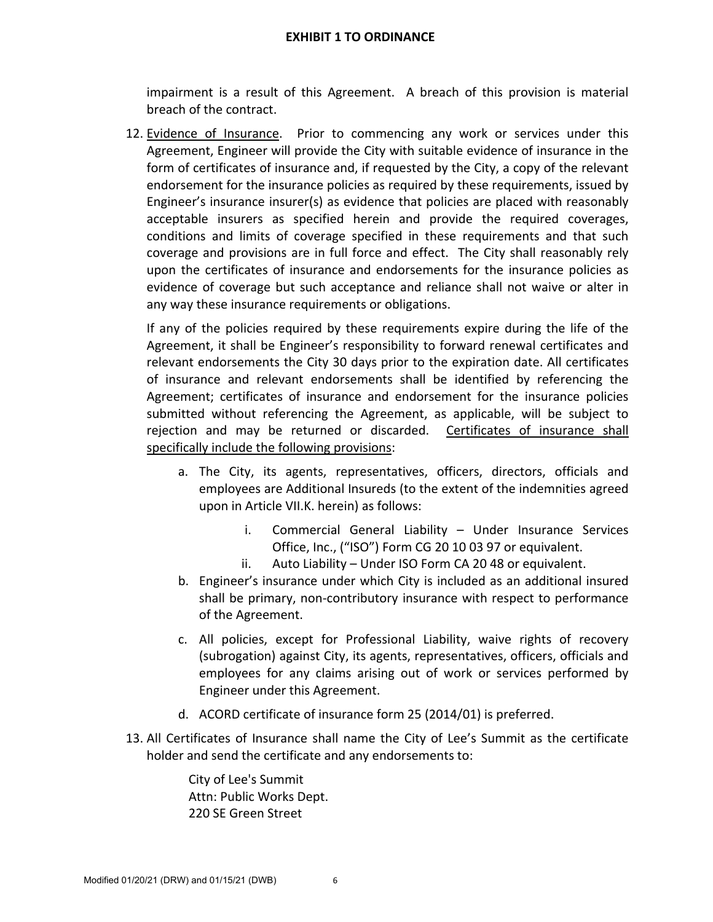impairment is a result of this Agreement. A breach of this provision is material breach of the contract.

12. Evidence of Insurance. Prior to commencing any work or services under this Agreement, Engineer will provide the City with suitable evidence of insurance in the form of certificates of insurance and, if requested by the City, a copy of the relevant endorsement for the insurance policies as required by these requirements, issued by Engineer's insurance insurer(s) as evidence that policies are placed with reasonably acceptable insurers as specified herein and provide the required coverages, conditions and limits of coverage specified in these requirements and that such coverage and provisions are in full force and effect. The City shall reasonably rely upon the certificates of insurance and endorsements for the insurance policies as evidence of coverage but such acceptance and reliance shall not waive or alter in any way these insurance requirements or obligations.

If any of the policies required by these requirements expire during the life of the Agreement, it shall be Engineer's responsibility to forward renewal certificates and relevant endorsements the City 30 days prior to the expiration date. All certificates of insurance and relevant endorsements shall be identified by referencing the Agreement; certificates of insurance and endorsement for the insurance policies submitted without referencing the Agreement, as applicable, will be subject to rejection and may be returned or discarded. Certificates of insurance shall specifically include the following provisions:

- a. The City, its agents, representatives, officers, directors, officials and employees are Additional Insureds (to the extent of the indemnities agreed upon in Article VII.K. herein) as follows:
	- i. Commercial General Liability Under Insurance Services Office, Inc., ("ISO") Form CG 20 10 03 97 or equivalent.
	- ii. Auto Liability Under ISO Form CA 20 48 or equivalent.
- b. Engineer's insurance under which City is included as an additional insured shall be primary, non‐contributory insurance with respect to performance of the Agreement.
- c. All policies, except for Professional Liability, waive rights of recovery (subrogation) against City, its agents, representatives, officers, officials and employees for any claims arising out of work or services performed by Engineer under this Agreement.
- d. ACORD certificate of insurance form 25 (2014/01) is preferred.
- 13. All Certificates of Insurance shall name the City of Lee's Summit as the certificate holder and send the certificate and any endorsements to:

City of Lee's Summit Attn: Public Works Dept. 220 SE Green Street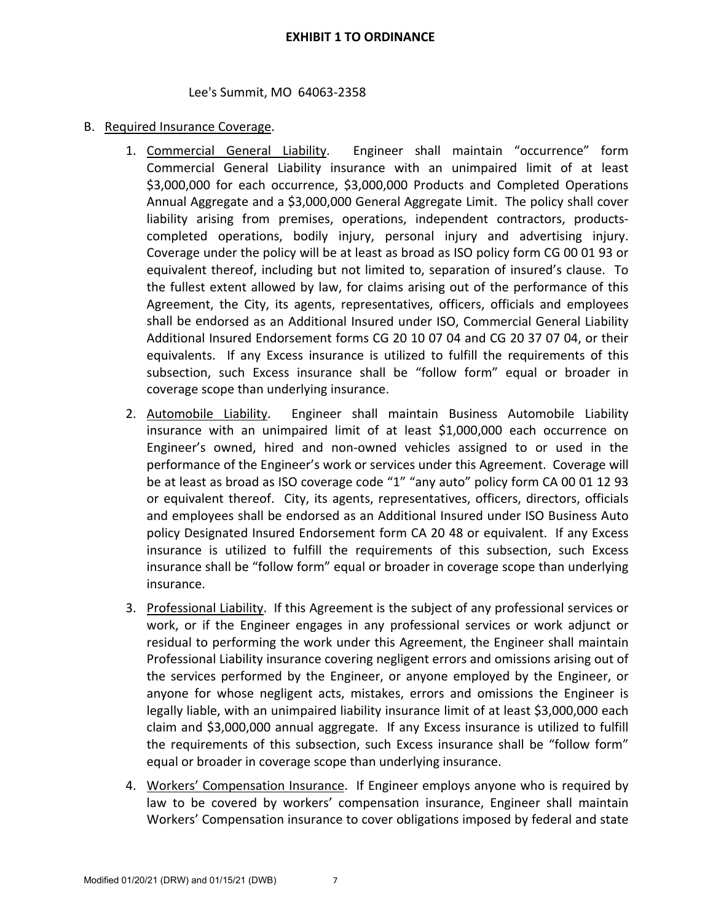#### Lee's Summit, MO 64063‐2358

#### B. Required Insurance Coverage.

- 1. Commercial General Liability. Engineer shall maintain "occurrence" form Commercial General Liability insurance with an unimpaired limit of at least \$3,000,000 for each occurrence, \$3,000,000 Products and Completed Operations Annual Aggregate and a \$3,000,000 General Aggregate Limit. The policy shall cover liability arising from premises, operations, independent contractors, products‐ completed operations, bodily injury, personal injury and advertising injury. Coverage under the policy will be at least as broad as ISO policy form CG 00 01 93 or equivalent thereof, including but not limited to, separation of insured's clause. To the fullest extent allowed by law, for claims arising out of the performance of this Agreement, the City, its agents, representatives, officers, officials and employees shall be endorsed as an Additional Insured under ISO, Commercial General Liability Additional Insured Endorsement forms CG 20 10 07 04 and CG 20 37 07 04, or their equivalents. If any Excess insurance is utilized to fulfill the requirements of this subsection, such Excess insurance shall be "follow form" equal or broader in coverage scope than underlying insurance.
- 2. Automobile Liability. Engineer shall maintain Business Automobile Liability insurance with an unimpaired limit of at least \$1,000,000 each occurrence on Engineer's owned, hired and non‐owned vehicles assigned to or used in the performance of the Engineer's work or services under this Agreement. Coverage will be at least as broad as ISO coverage code "1" "any auto" policy form CA 00 01 12 93 or equivalent thereof. City, its agents, representatives, officers, directors, officials and employees shall be endorsed as an Additional Insured under ISO Business Auto policy Designated Insured Endorsement form CA 20 48 or equivalent. If any Excess insurance is utilized to fulfill the requirements of this subsection, such Excess insurance shall be "follow form" equal or broader in coverage scope than underlying insurance.
- 3. Professional Liability. If this Agreement is the subject of any professional services or work, or if the Engineer engages in any professional services or work adjunct or residual to performing the work under this Agreement, the Engineer shall maintain Professional Liability insurance covering negligent errors and omissions arising out of the services performed by the Engineer, or anyone employed by the Engineer, or anyone for whose negligent acts, mistakes, errors and omissions the Engineer is legally liable, with an unimpaired liability insurance limit of at least \$3,000,000 each claim and \$3,000,000 annual aggregate. If any Excess insurance is utilized to fulfill the requirements of this subsection, such Excess insurance shall be "follow form" equal or broader in coverage scope than underlying insurance.
- 4. Workers' Compensation Insurance. If Engineer employs anyone who is required by law to be covered by workers' compensation insurance, Engineer shall maintain Workers' Compensation insurance to cover obligations imposed by federal and state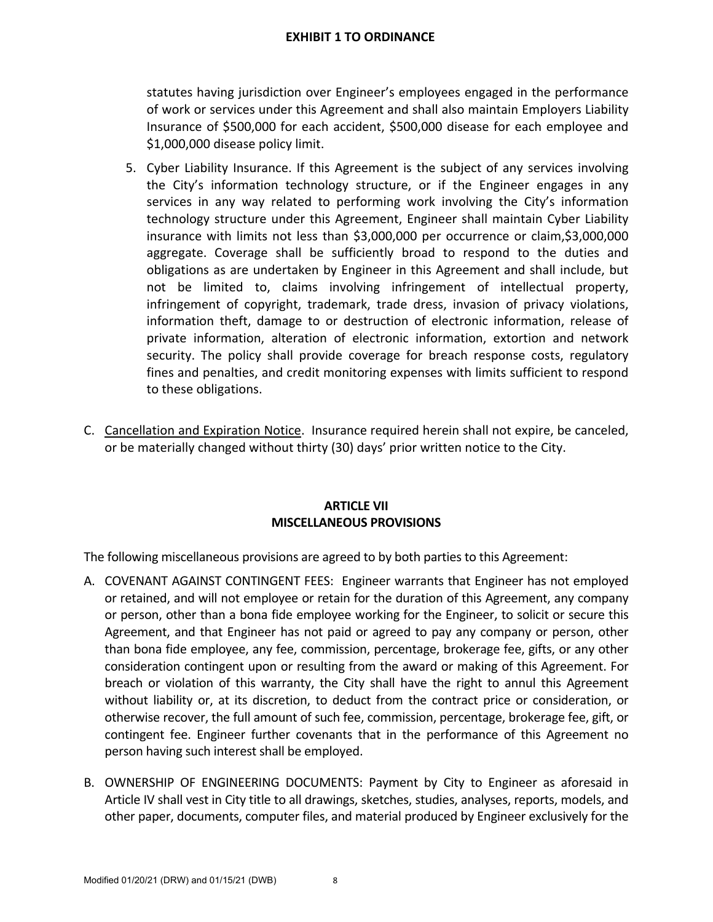statutes having jurisdiction over Engineer's employees engaged in the performance of work or services under this Agreement and shall also maintain Employers Liability Insurance of \$500,000 for each accident, \$500,000 disease for each employee and \$1,000,000 disease policy limit.

- 5. Cyber Liability Insurance. If this Agreement is the subject of any services involving the City's information technology structure, or if the Engineer engages in any services in any way related to performing work involving the City's information technology structure under this Agreement, Engineer shall maintain Cyber Liability insurance with limits not less than \$3,000,000 per occurrence or claim,\$3,000,000 aggregate. Coverage shall be sufficiently broad to respond to the duties and obligations as are undertaken by Engineer in this Agreement and shall include, but not be limited to, claims involving infringement of intellectual property, infringement of copyright, trademark, trade dress, invasion of privacy violations, information theft, damage to or destruction of electronic information, release of private information, alteration of electronic information, extortion and network security. The policy shall provide coverage for breach response costs, regulatory fines and penalties, and credit monitoring expenses with limits sufficient to respond to these obligations.
- C. Cancellation and Expiration Notice. Insurance required herein shall not expire, be canceled, or be materially changed without thirty (30) days' prior written notice to the City.

#### **ARTICLE VII MISCELLANEOUS PROVISIONS**

The following miscellaneous provisions are agreed to by both parties to this Agreement:

- A. COVENANT AGAINST CONTINGENT FEES: Engineer warrants that Engineer has not employed or retained, and will not employee or retain for the duration of this Agreement, any company or person, other than a bona fide employee working for the Engineer, to solicit or secure this Agreement, and that Engineer has not paid or agreed to pay any company or person, other than bona fide employee, any fee, commission, percentage, brokerage fee, gifts, or any other consideration contingent upon or resulting from the award or making of this Agreement. For breach or violation of this warranty, the City shall have the right to annul this Agreement without liability or, at its discretion, to deduct from the contract price or consideration, or otherwise recover, the full amount of such fee, commission, percentage, brokerage fee, gift, or contingent fee. Engineer further covenants that in the performance of this Agreement no person having such interest shall be employed.
- B. OWNERSHIP OF ENGINEERING DOCUMENTS: Payment by City to Engineer as aforesaid in Article IV shall vest in City title to all drawings, sketches, studies, analyses, reports, models, and other paper, documents, computer files, and material produced by Engineer exclusively for the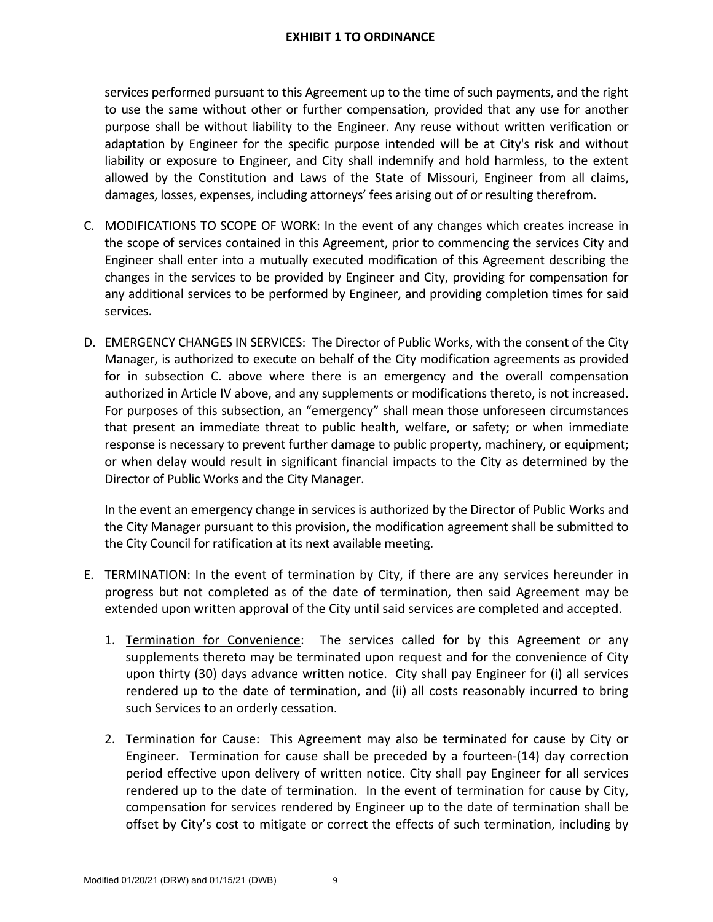services performed pursuant to this Agreement up to the time of such payments, and the right to use the same without other or further compensation, provided that any use for another purpose shall be without liability to the Engineer. Any reuse without written verification or adaptation by Engineer for the specific purpose intended will be at City's risk and without liability or exposure to Engineer, and City shall indemnify and hold harmless, to the extent allowed by the Constitution and Laws of the State of Missouri, Engineer from all claims, damages, losses, expenses, including attorneys' fees arising out of or resulting therefrom.

- C. MODIFICATIONS TO SCOPE OF WORK: In the event of any changes which creates increase in the scope of services contained in this Agreement, prior to commencing the services City and Engineer shall enter into a mutually executed modification of this Agreement describing the changes in the services to be provided by Engineer and City, providing for compensation for any additional services to be performed by Engineer, and providing completion times for said services.
- D. EMERGENCY CHANGES IN SERVICES: The Director of Public Works, with the consent of the City Manager, is authorized to execute on behalf of the City modification agreements as provided for in subsection C. above where there is an emergency and the overall compensation authorized in Article IV above, and any supplements or modifications thereto, is not increased. For purposes of this subsection, an "emergency" shall mean those unforeseen circumstances that present an immediate threat to public health, welfare, or safety; or when immediate response is necessary to prevent further damage to public property, machinery, or equipment; or when delay would result in significant financial impacts to the City as determined by the Director of Public Works and the City Manager.

In the event an emergency change in services is authorized by the Director of Public Works and the City Manager pursuant to this provision, the modification agreement shall be submitted to the City Council for ratification at its next available meeting.

- E. TERMINATION: In the event of termination by City, if there are any services hereunder in progress but not completed as of the date of termination, then said Agreement may be extended upon written approval of the City until said services are completed and accepted.
	- 1. Termination for Convenience: The services called for by this Agreement or any supplements thereto may be terminated upon request and for the convenience of City upon thirty (30) days advance written notice. City shall pay Engineer for (i) all services rendered up to the date of termination, and (ii) all costs reasonably incurred to bring such Services to an orderly cessation.
	- 2. Termination for Cause: This Agreement may also be terminated for cause by City or Engineer. Termination for cause shall be preceded by a fourteen‐(14) day correction period effective upon delivery of written notice. City shall pay Engineer for all services rendered up to the date of termination. In the event of termination for cause by City, compensation for services rendered by Engineer up to the date of termination shall be offset by City's cost to mitigate or correct the effects of such termination, including by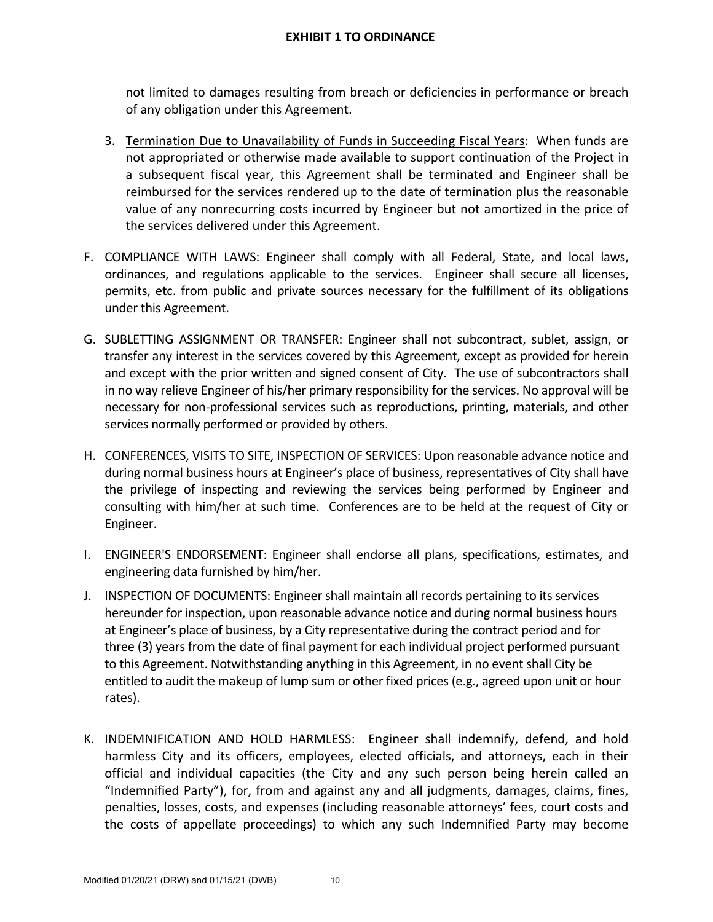not limited to damages resulting from breach or deficiencies in performance or breach of any obligation under this Agreement.

- 3. Termination Due to Unavailability of Funds in Succeeding Fiscal Years: When funds are not appropriated or otherwise made available to support continuation of the Project in a subsequent fiscal year, this Agreement shall be terminated and Engineer shall be reimbursed for the services rendered up to the date of termination plus the reasonable value of any nonrecurring costs incurred by Engineer but not amortized in the price of the services delivered under this Agreement.
- F. COMPLIANCE WITH LAWS: Engineer shall comply with all Federal, State, and local laws, ordinances, and regulations applicable to the services. Engineer shall secure all licenses, permits, etc. from public and private sources necessary for the fulfillment of its obligations under this Agreement.
- G. SUBLETTING ASSIGNMENT OR TRANSFER: Engineer shall not subcontract, sublet, assign, or transfer any interest in the services covered by this Agreement, except as provided for herein and except with the prior written and signed consent of City. The use of subcontractors shall in no way relieve Engineer of his/her primary responsibility for the services. No approval will be necessary for non‐professional services such as reproductions, printing, materials, and other services normally performed or provided by others.
- H. CONFERENCES, VISITS TO SITE, INSPECTION OF SERVICES: Upon reasonable advance notice and during normal business hours at Engineer's place of business, representatives of City shall have the privilege of inspecting and reviewing the services being performed by Engineer and consulting with him/her at such time. Conferences are to be held at the request of City or Engineer.
- I. ENGINEER'S ENDORSEMENT: Engineer shall endorse all plans, specifications, estimates, and engineering data furnished by him/her.
- J. INSPECTION OF DOCUMENTS: Engineer shall maintain all records pertaining to its services hereunder for inspection, upon reasonable advance notice and during normal business hours at Engineer's place of business, by a City representative during the contract period and for three (3) years from the date of final payment for each individual project performed pursuant to this Agreement. Notwithstanding anything in this Agreement, in no event shall City be entitled to audit the makeup of lump sum or other fixed prices (e.g., agreed upon unit or hour rates).
- K. INDEMNIFICATION AND HOLD HARMLESS: Engineer shall indemnify, defend, and hold harmless City and its officers, employees, elected officials, and attorneys, each in their official and individual capacities (the City and any such person being herein called an "Indemnified Party"), for, from and against any and all judgments, damages, claims, fines, penalties, losses, costs, and expenses (including reasonable attorneys' fees, court costs and the costs of appellate proceedings) to which any such Indemnified Party may become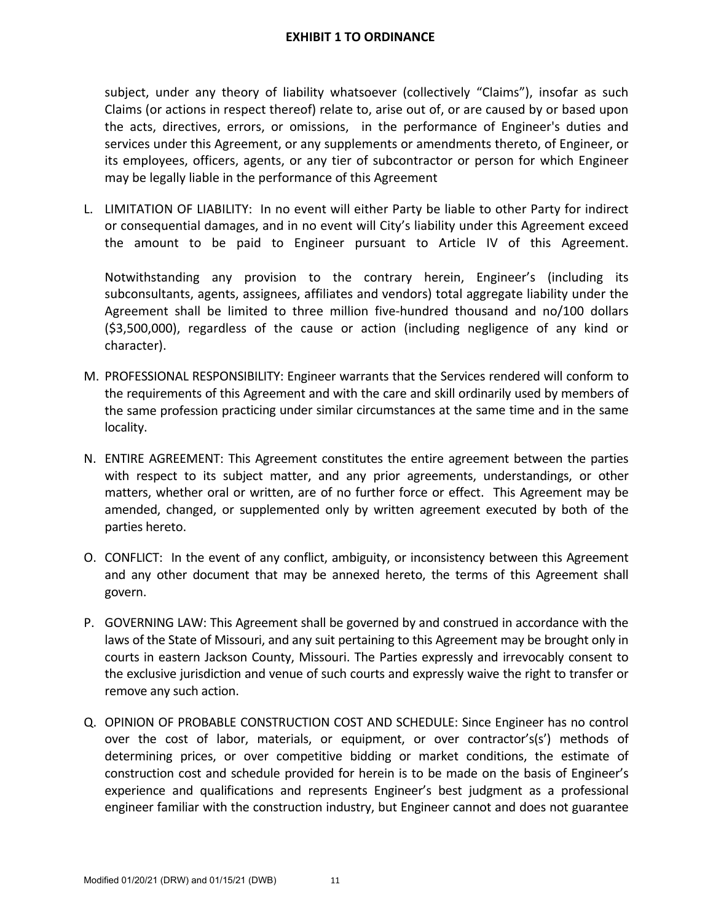subject, under any theory of liability whatsoever (collectively "Claims"), insofar as such Claims (or actions in respect thereof) relate to, arise out of, or are caused by or based upon the acts, directives, errors, or omissions, in the performance of Engineer's duties and services under this Agreement, or any supplements or amendments thereto, of Engineer, or its employees, officers, agents, or any tier of subcontractor or person for which Engineer may be legally liable in the performance of this Agreement

L. LIMITATION OF LIABILITY: In no event will either Party be liable to other Party for indirect or consequential damages, and in no event will City's liability under this Agreement exceed the amount to be paid to Engineer pursuant to Article IV of this Agreement.

Notwithstanding any provision to the contrary herein, Engineer's (including its subconsultants, agents, assignees, affiliates and vendors) total aggregate liability under the Agreement shall be limited to three million five‐hundred thousand and no/100 dollars (\$3,500,000), regardless of the cause or action (including negligence of any kind or character).

- M. PROFESSIONAL RESPONSIBILITY: Engineer warrants that the Services rendered will conform to the requirements of this Agreement and with the care and skill ordinarily used by members of the same profession practicing under similar circumstances at the same time and in the same locality.
- N. ENTIRE AGREEMENT: This Agreement constitutes the entire agreement between the parties with respect to its subject matter, and any prior agreements, understandings, or other matters, whether oral or written, are of no further force or effect. This Agreement may be amended, changed, or supplemented only by written agreement executed by both of the parties hereto.
- O. CONFLICT: In the event of any conflict, ambiguity, or inconsistency between this Agreement and any other document that may be annexed hereto, the terms of this Agreement shall govern.
- P. GOVERNING LAW: This Agreement shall be governed by and construed in accordance with the laws of the State of Missouri, and any suit pertaining to this Agreement may be brought only in courts in eastern Jackson County, Missouri. The Parties expressly and irrevocably consent to the exclusive jurisdiction and venue of such courts and expressly waive the right to transfer or remove any such action.
- Q. OPINION OF PROBABLE CONSTRUCTION COST AND SCHEDULE: Since Engineer has no control over the cost of labor, materials, or equipment, or over contractor's(s') methods of determining prices, or over competitive bidding or market conditions, the estimate of construction cost and schedule provided for herein is to be made on the basis of Engineer's experience and qualifications and represents Engineer's best judgment as a professional engineer familiar with the construction industry, but Engineer cannot and does not guarantee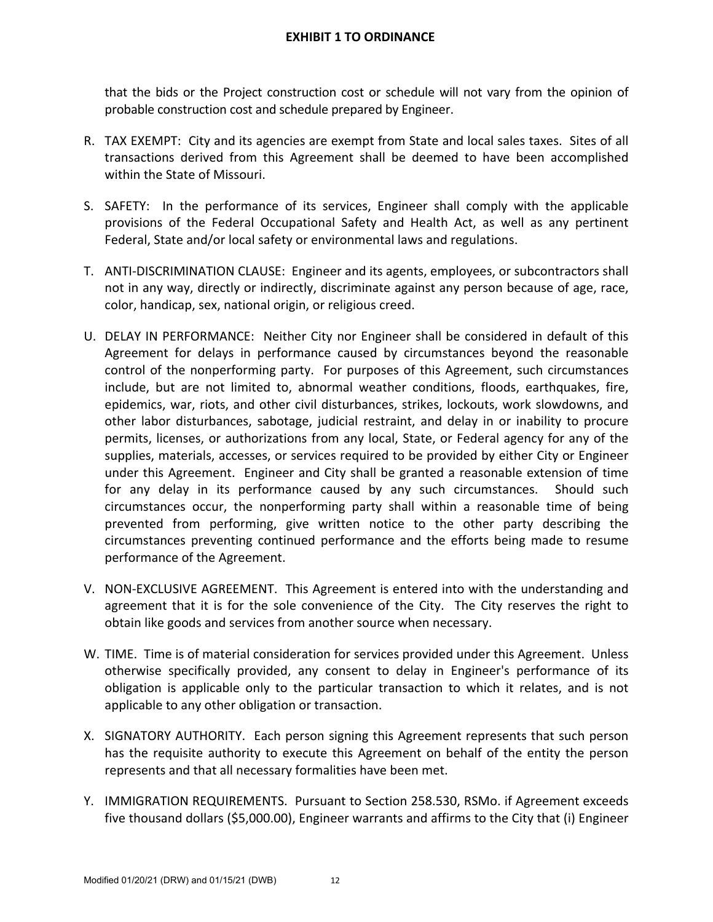that the bids or the Project construction cost or schedule will not vary from the opinion of probable construction cost and schedule prepared by Engineer.

- R. TAX EXEMPT: City and its agencies are exempt from State and local sales taxes. Sites of all transactions derived from this Agreement shall be deemed to have been accomplished within the State of Missouri.
- S. SAFETY: In the performance of its services, Engineer shall comply with the applicable provisions of the Federal Occupational Safety and Health Act, as well as any pertinent Federal, State and/or local safety or environmental laws and regulations.
- T. ANTI‐DISCRIMINATION CLAUSE: Engineer and its agents, employees, or subcontractors shall not in any way, directly or indirectly, discriminate against any person because of age, race, color, handicap, sex, national origin, or religious creed.
- U. DELAY IN PERFORMANCE: Neither City nor Engineer shall be considered in default of this Agreement for delays in performance caused by circumstances beyond the reasonable control of the nonperforming party. For purposes of this Agreement, such circumstances include, but are not limited to, abnormal weather conditions, floods, earthquakes, fire, epidemics, war, riots, and other civil disturbances, strikes, lockouts, work slowdowns, and other labor disturbances, sabotage, judicial restraint, and delay in or inability to procure permits, licenses, or authorizations from any local, State, or Federal agency for any of the supplies, materials, accesses, or services required to be provided by either City or Engineer under this Agreement. Engineer and City shall be granted a reasonable extension of time for any delay in its performance caused by any such circumstances. Should such circumstances occur, the nonperforming party shall within a reasonable time of being prevented from performing, give written notice to the other party describing the circumstances preventing continued performance and the efforts being made to resume performance of the Agreement.
- V. NON‐EXCLUSIVE AGREEMENT. This Agreement is entered into with the understanding and agreement that it is for the sole convenience of the City. The City reserves the right to obtain like goods and services from another source when necessary.
- W. TIME. Time is of material consideration for services provided under this Agreement. Unless otherwise specifically provided, any consent to delay in Engineer's performance of its obligation is applicable only to the particular transaction to which it relates, and is not applicable to any other obligation or transaction.
- X. SIGNATORY AUTHORITY. Each person signing this Agreement represents that such person has the requisite authority to execute this Agreement on behalf of the entity the person represents and that all necessary formalities have been met.
- Y. IMMIGRATION REQUIREMENTS. Pursuant to Section 258.530, RSMo. if Agreement exceeds five thousand dollars (\$5,000.00), Engineer warrants and affirms to the City that (i) Engineer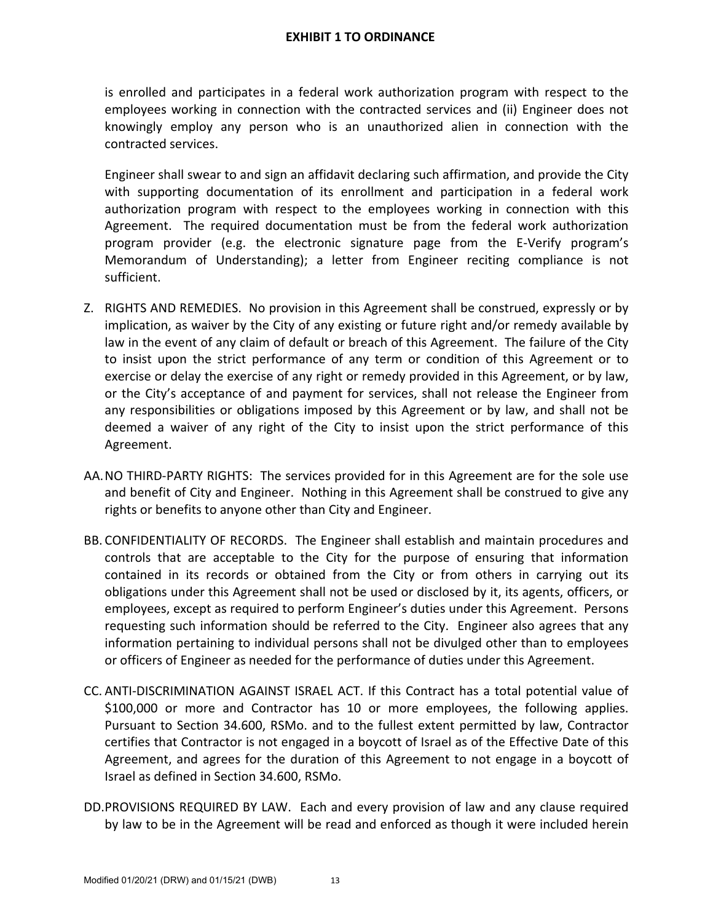is enrolled and participates in a federal work authorization program with respect to the employees working in connection with the contracted services and (ii) Engineer does not knowingly employ any person who is an unauthorized alien in connection with the contracted services.

Engineer shall swear to and sign an affidavit declaring such affirmation, and provide the City with supporting documentation of its enrollment and participation in a federal work authorization program with respect to the employees working in connection with this Agreement. The required documentation must be from the federal work authorization program provider (e.g. the electronic signature page from the E‐Verify program's Memorandum of Understanding); a letter from Engineer reciting compliance is not sufficient.

- Z. RIGHTS AND REMEDIES. No provision in this Agreement shall be construed, expressly or by implication, as waiver by the City of any existing or future right and/or remedy available by law in the event of any claim of default or breach of this Agreement. The failure of the City to insist upon the strict performance of any term or condition of this Agreement or to exercise or delay the exercise of any right or remedy provided in this Agreement, or by law, or the City's acceptance of and payment for services, shall not release the Engineer from any responsibilities or obligations imposed by this Agreement or by law, and shall not be deemed a waiver of any right of the City to insist upon the strict performance of this Agreement.
- AA.NO THIRD‐PARTY RIGHTS: The services provided for in this Agreement are for the sole use and benefit of City and Engineer. Nothing in this Agreement shall be construed to give any rights or benefits to anyone other than City and Engineer.
- BB. CONFIDENTIALITY OF RECORDS. The Engineer shall establish and maintain procedures and controls that are acceptable to the City for the purpose of ensuring that information contained in its records or obtained from the City or from others in carrying out its obligations under this Agreement shall not be used or disclosed by it, its agents, officers, or employees, except as required to perform Engineer's duties under this Agreement. Persons requesting such information should be referred to the City. Engineer also agrees that any information pertaining to individual persons shall not be divulged other than to employees or officers of Engineer as needed for the performance of duties under this Agreement.
- CC. ANTI‐DISCRIMINATION AGAINST ISRAEL ACT. If this Contract has a total potential value of \$100,000 or more and Contractor has 10 or more employees, the following applies. Pursuant to Section 34.600, RSMo. and to the fullest extent permitted by law, Contractor certifies that Contractor is not engaged in a boycott of Israel as of the Effective Date of this Agreement, and agrees for the duration of this Agreement to not engage in a boycott of Israel as defined in Section 34.600, RSMo.
- DD.PROVISIONS REQUIRED BY LAW. Each and every provision of law and any clause required by law to be in the Agreement will be read and enforced as though it were included herein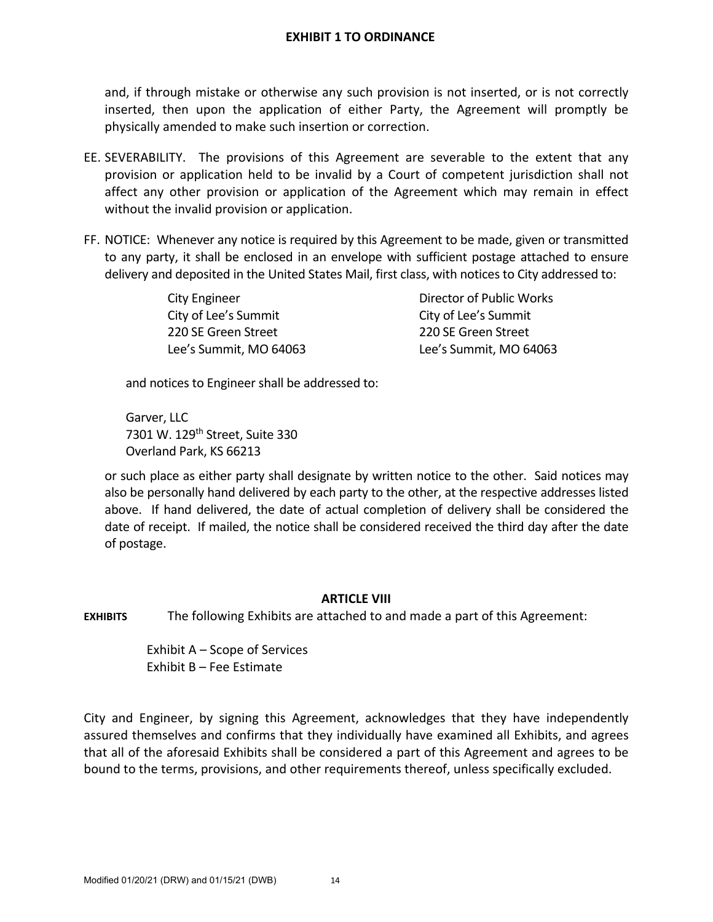and, if through mistake or otherwise any such provision is not inserted, or is not correctly inserted, then upon the application of either Party, the Agreement will promptly be physically amended to make such insertion or correction.

- EE. SEVERABILITY. The provisions of this Agreement are severable to the extent that any provision or application held to be invalid by a Court of competent jurisdiction shall not affect any other provision or application of the Agreement which may remain in effect without the invalid provision or application.
- FF. NOTICE: Whenever any notice is required by this Agreement to be made, given or transmitted to any party, it shall be enclosed in an envelope with sufficient postage attached to ensure delivery and deposited in the United States Mail, first class, with notices to City addressed to:

City of Lee's Summit City of Lee's Summit 220 SE Green Street 220 SE Green Street Lee's Summit, MO 64063 Lee's Summit, MO 64063

City Engineer **Director of Public Works** 

and notices to Engineer shall be addressed to:

Garver, LLC 7301 W. 129<sup>th</sup> Street, Suite 330 Overland Park, KS 66213

or such place as either party shall designate by written notice to the other. Said notices may also be personally hand delivered by each party to the other, at the respective addresses listed above. If hand delivered, the date of actual completion of delivery shall be considered the date of receipt. If mailed, the notice shall be considered received the third day after the date of postage.

### **ARTICLE VIII**

**EXHIBITS** The following Exhibits are attached to and made a part of this Agreement:

Exhibit A – Scope of Services Exhibit B – Fee Estimate

City and Engineer, by signing this Agreement, acknowledges that they have independently assured themselves and confirms that they individually have examined all Exhibits, and agrees that all of the aforesaid Exhibits shall be considered a part of this Agreement and agrees to be bound to the terms, provisions, and other requirements thereof, unless specifically excluded.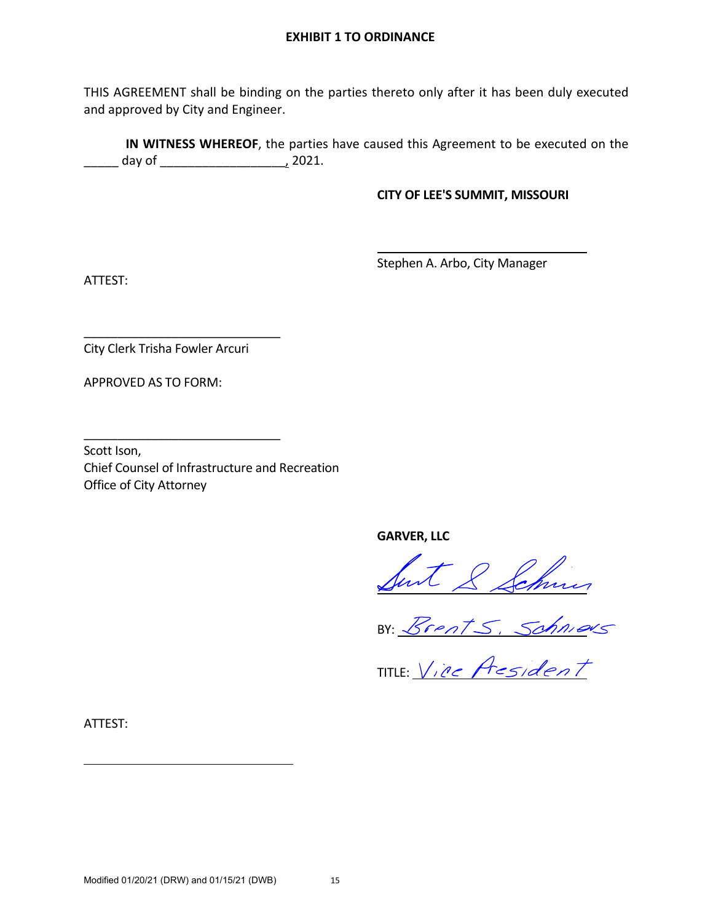THIS AGREEMENT shall be binding on the parties thereto only after it has been duly executed and approved by City and Engineer.

**IN WITNESS WHEREOF**, the parties have caused this Agreement to be executed on the \_\_\_\_\_ day of \_\_\_\_\_\_\_\_\_\_\_\_\_\_\_\_\_\_, 2021.

#### **CITY OF LEE'S SUMMIT, MISSOURI**

Stephen A. Arbo, City Manager

ATTEST:

City Clerk Trisha Fowler Arcuri

\_\_\_\_\_\_\_\_\_\_\_\_\_\_\_\_\_\_\_\_\_\_\_\_\_\_\_\_\_

\_\_\_\_\_\_\_\_\_\_\_\_\_\_\_\_\_\_\_\_\_\_\_\_\_\_\_\_\_

APPROVED AS TO FORM:

Scott Ison, Chief Counsel of Infrastructure and Recreation Office of City Attorney

**GARVER, LLC** 

BY:

TITLE:

ATTEST: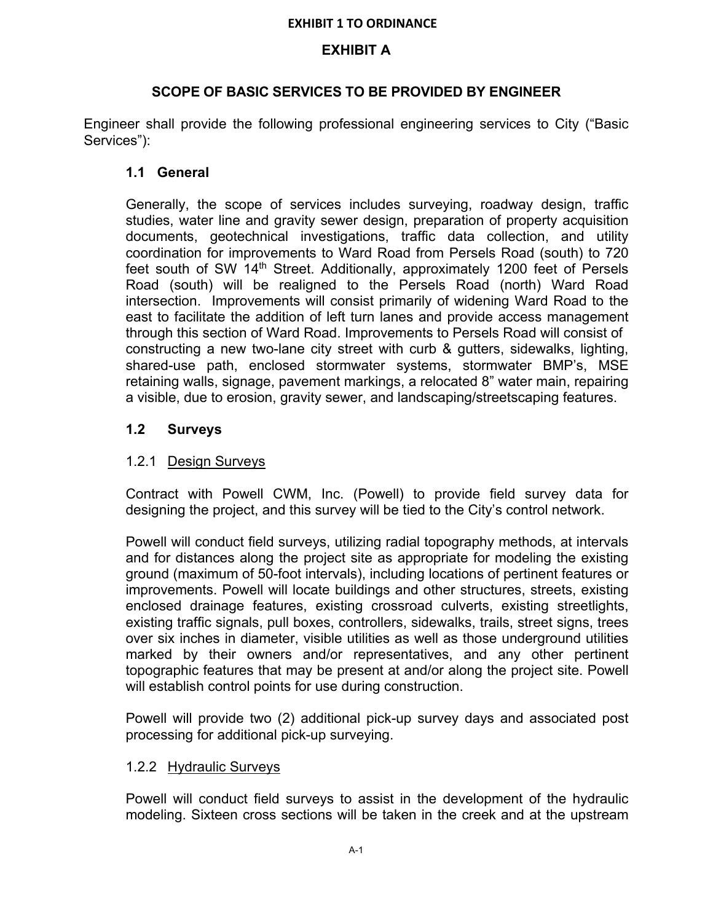## **EXHIBIT A**

## **SCOPE OF BASIC SERVICES TO BE PROVIDED BY ENGINEER**

Engineer shall provide the following professional engineering services to City ("Basic Services"):

# **1.1 General**

Generally, the scope of services includes surveying, roadway design, traffic studies, water line and gravity sewer design, preparation of property acquisition documents, geotechnical investigations, traffic data collection, and utility coordination for improvements to Ward Road from Persels Road (south) to 720 feet south of SW 14<sup>th</sup> Street. Additionally, approximately 1200 feet of Persels Road (south) will be realigned to the Persels Road (north) Ward Road intersection. Improvements will consist primarily of widening Ward Road to the east to facilitate the addition of left turn lanes and provide access management through this section of Ward Road. Improvements to Persels Road will consist of constructing a new two-lane city street with curb & gutters, sidewalks, lighting, shared-use path, enclosed stormwater systems, stormwater BMP's, MSE retaining walls, signage, pavement markings, a relocated 8" water main, repairing a visible, due to erosion, gravity sewer, and landscaping/streetscaping features.

## **1.2 Surveys**

## 1.2.1 Design Surveys

Contract with Powell CWM, Inc. (Powell) to provide field survey data for designing the project, and this survey will be tied to the City's control network.

Powell will conduct field surveys, utilizing radial topography methods, at intervals and for distances along the project site as appropriate for modeling the existing ground (maximum of 50-foot intervals), including locations of pertinent features or improvements. Powell will locate buildings and other structures, streets, existing enclosed drainage features, existing crossroad culverts, existing streetlights, existing traffic signals, pull boxes, controllers, sidewalks, trails, street signs, trees over six inches in diameter, visible utilities as well as those underground utilities marked by their owners and/or representatives, and any other pertinent topographic features that may be present at and/or along the project site. Powell will establish control points for use during construction.

Powell will provide two (2) additional pick-up survey days and associated post processing for additional pick-up surveying.

### 1.2.2 Hydraulic Surveys

Powell will conduct field surveys to assist in the development of the hydraulic modeling. Sixteen cross sections will be taken in the creek and at the upstream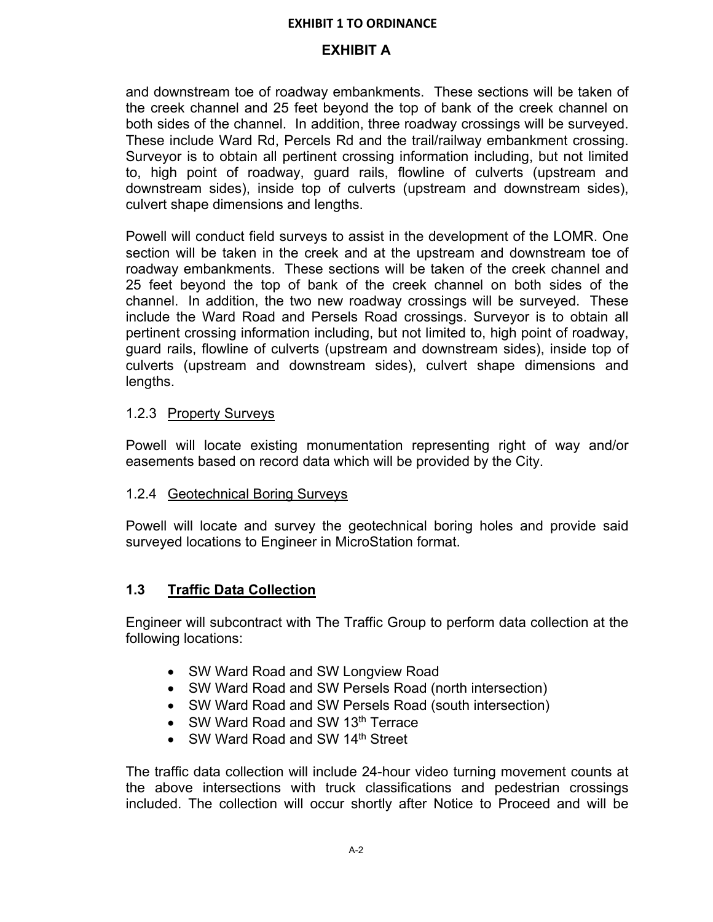## **EXHIBIT A**

and downstream toe of roadway embankments. These sections will be taken of the creek channel and 25 feet beyond the top of bank of the creek channel on both sides of the channel. In addition, three roadway crossings will be surveyed. These include Ward Rd, Percels Rd and the trail/railway embankment crossing. Surveyor is to obtain all pertinent crossing information including, but not limited to, high point of roadway, guard rails, flowline of culverts (upstream and downstream sides), inside top of culverts (upstream and downstream sides), culvert shape dimensions and lengths.

Powell will conduct field surveys to assist in the development of the LOMR. One section will be taken in the creek and at the upstream and downstream toe of roadway embankments. These sections will be taken of the creek channel and 25 feet beyond the top of bank of the creek channel on both sides of the channel. In addition, the two new roadway crossings will be surveyed. These include the Ward Road and Persels Road crossings. Surveyor is to obtain all pertinent crossing information including, but not limited to, high point of roadway, guard rails, flowline of culverts (upstream and downstream sides), inside top of culverts (upstream and downstream sides), culvert shape dimensions and lengths.

### 1.2.3 Property Surveys

Powell will locate existing monumentation representing right of way and/or easements based on record data which will be provided by the City.

### 1.2.4 Geotechnical Boring Surveys

Powell will locate and survey the geotechnical boring holes and provide said surveyed locations to Engineer in MicroStation format.

### **1.3 Traffic Data Collection**

Engineer will subcontract with The Traffic Group to perform data collection at the following locations:

- SW Ward Road and SW Longview Road
- SW Ward Road and SW Persels Road (north intersection)
- SW Ward Road and SW Persels Road (south intersection)
- SW Ward Road and SW 13<sup>th</sup> Terrace
- SW Ward Road and SW 14<sup>th</sup> Street

The traffic data collection will include 24-hour video turning movement counts at the above intersections with truck classifications and pedestrian crossings included. The collection will occur shortly after Notice to Proceed and will be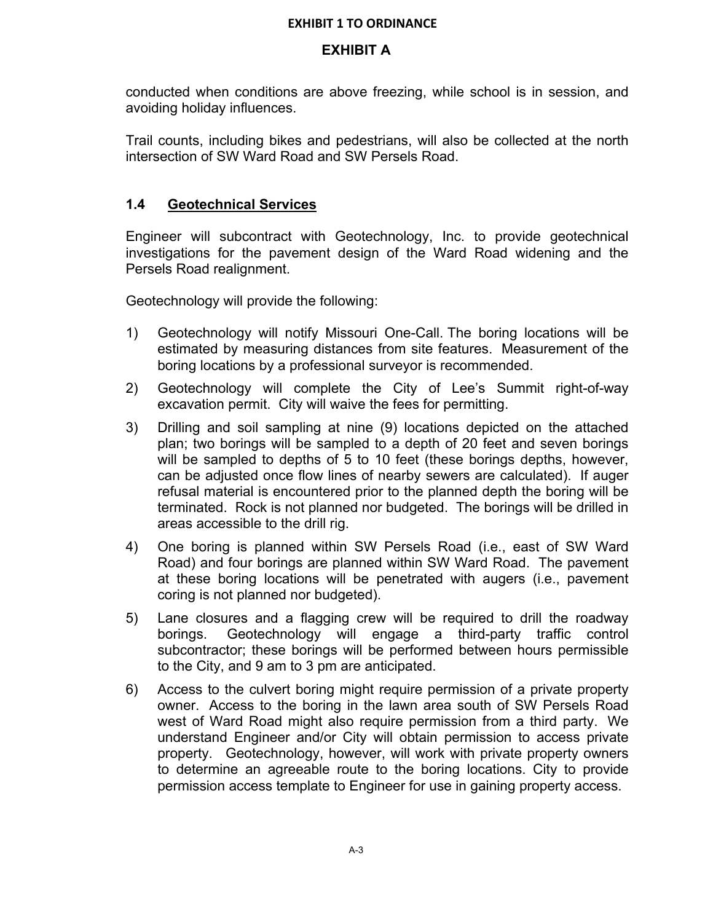## **EXHIBIT A**

conducted when conditions are above freezing, while school is in session, and avoiding holiday influences.

Trail counts, including bikes and pedestrians, will also be collected at the north intersection of SW Ward Road and SW Persels Road.

## **1.4 Geotechnical Services**

Engineer will subcontract with Geotechnology, Inc. to provide geotechnical investigations for the pavement design of the Ward Road widening and the Persels Road realignment.

Geotechnology will provide the following:

- 1) Geotechnology will notify Missouri One-Call. The boring locations will be estimated by measuring distances from site features. Measurement of the boring locations by a professional surveyor is recommended.
- 2) Geotechnology will complete the City of Lee's Summit right-of-way excavation permit. City will waive the fees for permitting.
- 3) Drilling and soil sampling at nine (9) locations depicted on the attached plan; two borings will be sampled to a depth of 20 feet and seven borings will be sampled to depths of 5 to 10 feet (these borings depths, however, can be adjusted once flow lines of nearby sewers are calculated). If auger refusal material is encountered prior to the planned depth the boring will be terminated. Rock is not planned nor budgeted. The borings will be drilled in areas accessible to the drill rig.
- 4) One boring is planned within SW Persels Road (i.e., east of SW Ward Road) and four borings are planned within SW Ward Road. The pavement at these boring locations will be penetrated with augers (i.e., pavement coring is not planned nor budgeted).
- 5) Lane closures and a flagging crew will be required to drill the roadway borings. Geotechnology will engage a third-party traffic control subcontractor; these borings will be performed between hours permissible to the City, and 9 am to 3 pm are anticipated.
- 6) Access to the culvert boring might require permission of a private property owner. Access to the boring in the lawn area south of SW Persels Road west of Ward Road might also require permission from a third party. We understand Engineer and/or City will obtain permission to access private property. Geotechnology, however, will work with private property owners to determine an agreeable route to the boring locations. City to provide permission access template to Engineer for use in gaining property access.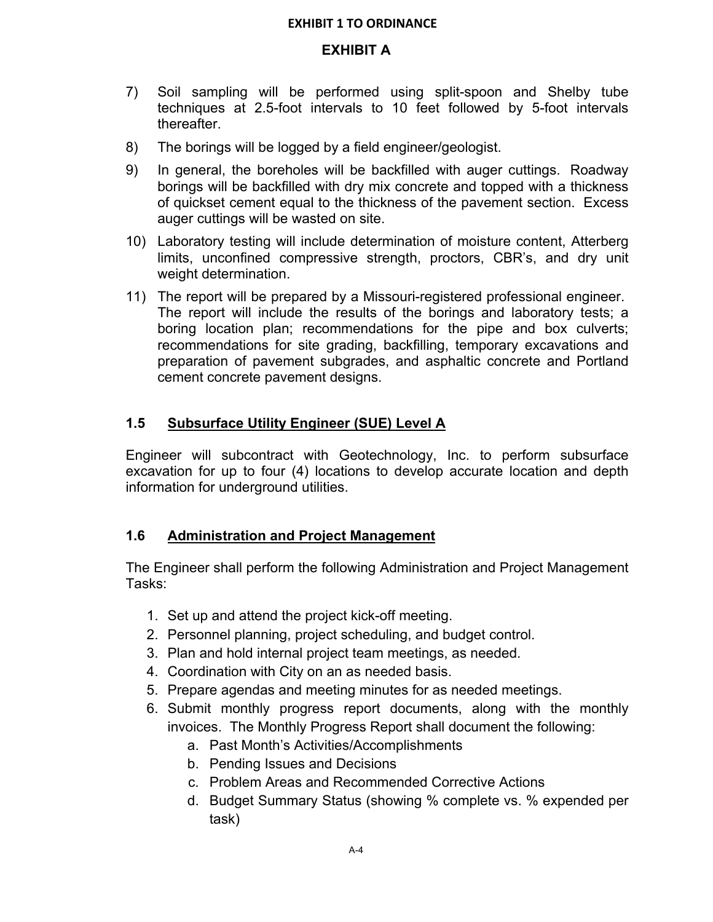## **EXHIBIT A**

- 7) Soil sampling will be performed using split-spoon and Shelby tube techniques at 2.5-foot intervals to 10 feet followed by 5-foot intervals thereafter.
- 8) The borings will be logged by a field engineer/geologist.
- 9) In general, the boreholes will be backfilled with auger cuttings. Roadway borings will be backfilled with dry mix concrete and topped with a thickness of quickset cement equal to the thickness of the pavement section. Excess auger cuttings will be wasted on site.
- 10) Laboratory testing will include determination of moisture content, Atterberg limits, unconfined compressive strength, proctors, CBR's, and dry unit weight determination.
- 11) The report will be prepared by a Missouri-registered professional engineer. The report will include the results of the borings and laboratory tests; a boring location plan; recommendations for the pipe and box culverts; recommendations for site grading, backfilling, temporary excavations and preparation of pavement subgrades, and asphaltic concrete and Portland cement concrete pavement designs.

# **1.5 Subsurface Utility Engineer (SUE) Level A**

Engineer will subcontract with Geotechnology, Inc. to perform subsurface excavation for up to four (4) locations to develop accurate location and depth information for underground utilities.

# **1.6 Administration and Project Management**

The Engineer shall perform the following Administration and Project Management Tasks:

- 1. Set up and attend the project kick-off meeting.
- 2. Personnel planning, project scheduling, and budget control.
- 3. Plan and hold internal project team meetings, as needed.
- 4. Coordination with City on an as needed basis.
- 5. Prepare agendas and meeting minutes for as needed meetings.
- 6. Submit monthly progress report documents, along with the monthly invoices. The Monthly Progress Report shall document the following:
	- a. Past Month's Activities/Accomplishments
	- b. Pending Issues and Decisions
	- c. Problem Areas and Recommended Corrective Actions
	- d. Budget Summary Status (showing % complete vs. % expended per task)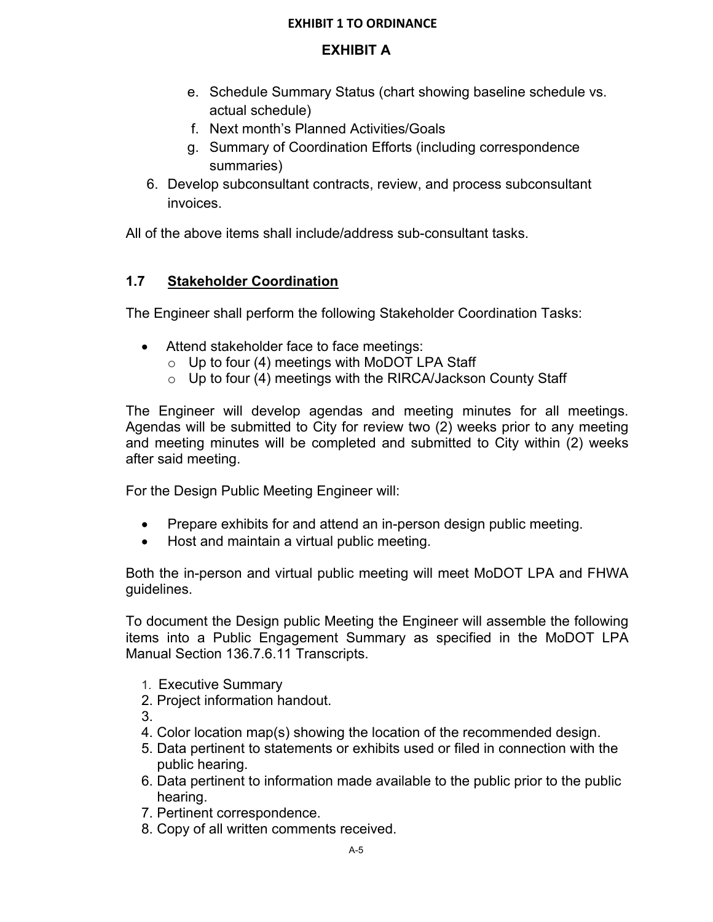# **EXHIBIT A**

- e. Schedule Summary Status (chart showing baseline schedule vs. actual schedule)
- f. Next month's Planned Activities/Goals
- g. Summary of Coordination Efforts (including correspondence summaries)
- 6. Develop subconsultant contracts, review, and process subconsultant invoices.

All of the above items shall include/address sub-consultant tasks.

# **1.7 Stakeholder Coordination**

The Engineer shall perform the following Stakeholder Coordination Tasks:

- Attend stakeholder face to face meetings:
	- $\circ$  Up to four (4) meetings with MoDOT LPA Staff
	- $\circ$  Up to four (4) meetings with the RIRCA/Jackson County Staff

The Engineer will develop agendas and meeting minutes for all meetings. Agendas will be submitted to City for review two (2) weeks prior to any meeting and meeting minutes will be completed and submitted to City within (2) weeks after said meeting.

For the Design Public Meeting Engineer will:

- Prepare exhibits for and attend an in-person design public meeting.
- Host and maintain a virtual public meeting.

Both the in-person and virtual public meeting will meet MoDOT LPA and FHWA guidelines.

To document the Design public Meeting the Engineer will assemble the following items into a Public Engagement Summary as specified in the MoDOT LPA Manual Section 136.7.6.11 Transcripts.

- 1. Executive Summary
- 2. Project information handout.

3.

- 4. Color location map(s) showing the location of the recommended design.
- 5. Data pertinent to statements or exhibits used or filed in connection with the public hearing.
- 6. Data pertinent to information made available to the public prior to the public hearing.
- 7. Pertinent correspondence.
- 8. Copy of all written comments received.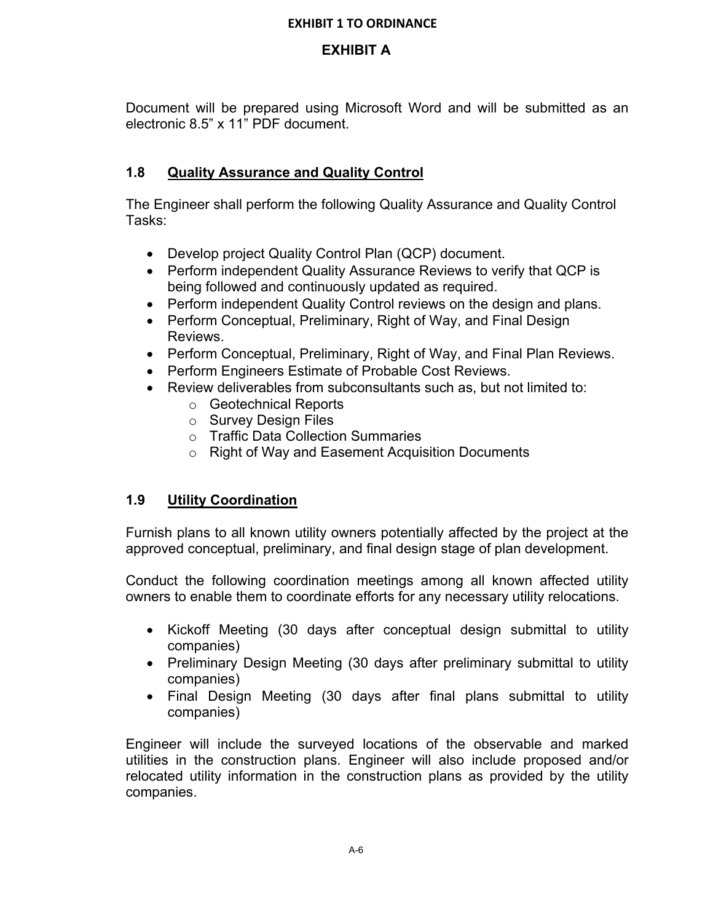# **EXHIBIT A**

Document will be prepared using Microsoft Word and will be submitted as an electronic 8.5" x 11" PDF document.

# **1.8 Quality Assurance and Quality Control**

The Engineer shall perform the following Quality Assurance and Quality Control Tasks:

- Develop project Quality Control Plan (QCP) document.
- Perform independent Quality Assurance Reviews to verify that QCP is being followed and continuously updated as required.
- Perform independent Quality Control reviews on the design and plans.
- Perform Conceptual, Preliminary, Right of Way, and Final Design Reviews.
- Perform Conceptual, Preliminary, Right of Way, and Final Plan Reviews.
- Perform Engineers Estimate of Probable Cost Reviews.
- Review deliverables from subconsultants such as, but not limited to:
	- o Geotechnical Reports
	- o Survey Design Files
	- o Traffic Data Collection Summaries
	- o Right of Way and Easement Acquisition Documents

# **1.9 Utility Coordination**

Furnish plans to all known utility owners potentially affected by the project at the approved conceptual, preliminary, and final design stage of plan development.

Conduct the following coordination meetings among all known affected utility owners to enable them to coordinate efforts for any necessary utility relocations.

- Kickoff Meeting (30 days after conceptual design submittal to utility companies)
- Preliminary Design Meeting (30 days after preliminary submittal to utility companies)
- Final Design Meeting (30 days after final plans submittal to utility companies)

Engineer will include the surveyed locations of the observable and marked utilities in the construction plans. Engineer will also include proposed and/or relocated utility information in the construction plans as provided by the utility companies.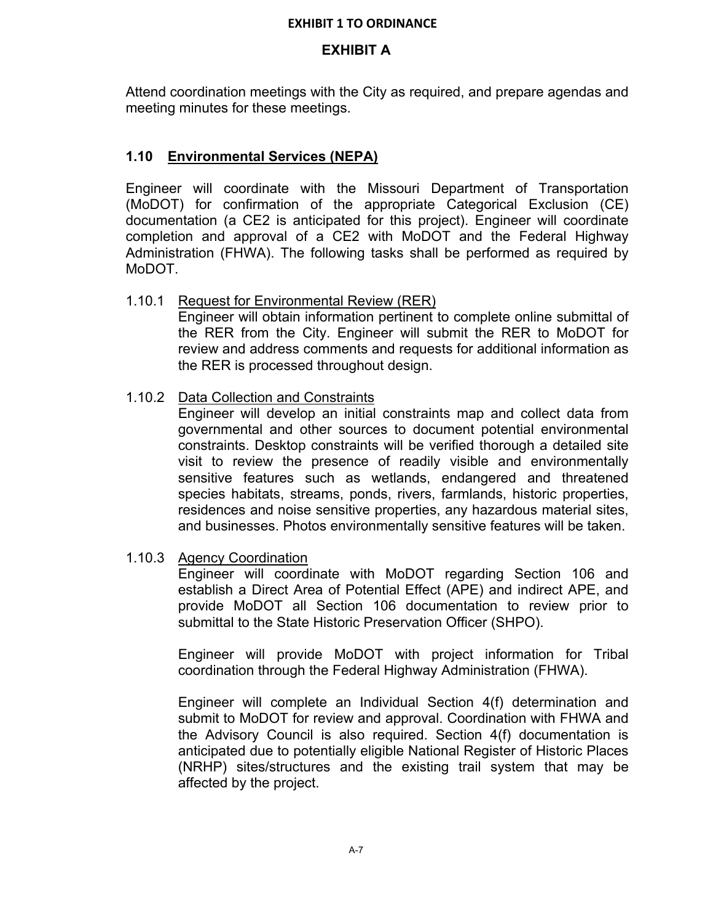## **EXHIBIT A**

Attend coordination meetings with the City as required, and prepare agendas and meeting minutes for these meetings.

# **1.10 Environmental Services (NEPA)**

Engineer will coordinate with the Missouri Department of Transportation (MoDOT) for confirmation of the appropriate Categorical Exclusion (CE) documentation (a CE2 is anticipated for this project). Engineer will coordinate completion and approval of a CE2 with MoDOT and the Federal Highway Administration (FHWA). The following tasks shall be performed as required by MoDOT.

## 1.10.1 Request for Environmental Review (RER)

Engineer will obtain information pertinent to complete online submittal of the RER from the City. Engineer will submit the RER to MoDOT for review and address comments and requests for additional information as the RER is processed throughout design.

## 1.10.2 Data Collection and Constraints

Engineer will develop an initial constraints map and collect data from governmental and other sources to document potential environmental constraints. Desktop constraints will be verified thorough a detailed site visit to review the presence of readily visible and environmentally sensitive features such as wetlands, endangered and threatened species habitats, streams, ponds, rivers, farmlands, historic properties, residences and noise sensitive properties, any hazardous material sites, and businesses. Photos environmentally sensitive features will be taken.

### 1.10.3 Agency Coordination

Engineer will coordinate with MoDOT regarding Section 106 and establish a Direct Area of Potential Effect (APE) and indirect APE, and provide MoDOT all Section 106 documentation to review prior to submittal to the State Historic Preservation Officer (SHPO).

Engineer will provide MoDOT with project information for Tribal coordination through the Federal Highway Administration (FHWA).

Engineer will complete an Individual Section 4(f) determination and submit to MoDOT for review and approval. Coordination with FHWA and the Advisory Council is also required. Section 4(f) documentation is anticipated due to potentially eligible National Register of Historic Places (NRHP) sites/structures and the existing trail system that may be affected by the project.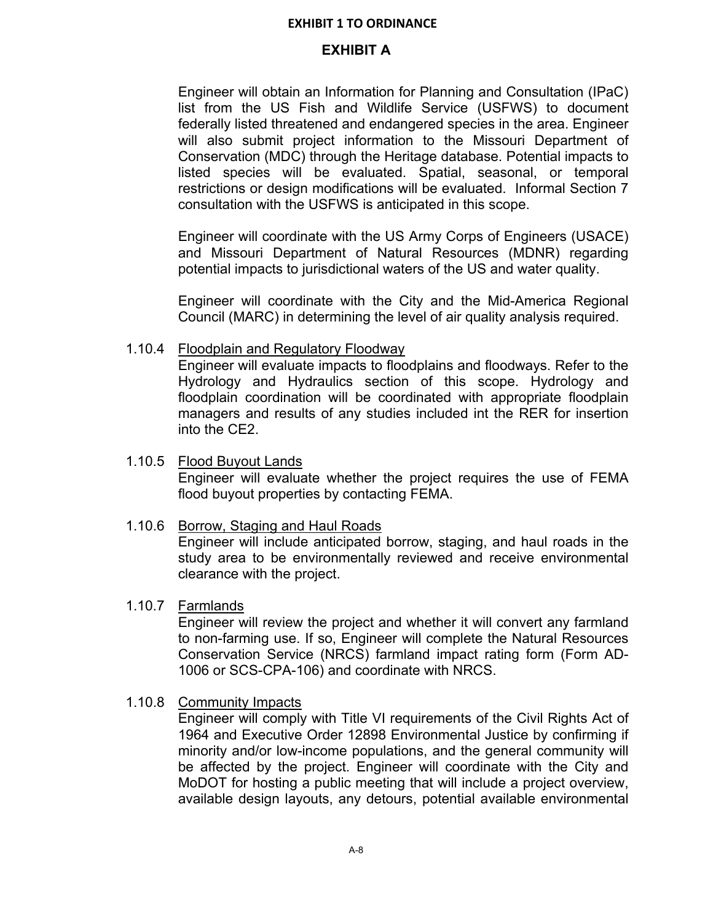## **EXHIBIT A**

Engineer will obtain an Information for Planning and Consultation (IPaC) list from the US Fish and Wildlife Service (USFWS) to document federally listed threatened and endangered species in the area. Engineer will also submit project information to the Missouri Department of Conservation (MDC) through the Heritage database. Potential impacts to listed species will be evaluated. Spatial, seasonal, or temporal restrictions or design modifications will be evaluated. Informal Section 7 consultation with the USFWS is anticipated in this scope.

Engineer will coordinate with the US Army Corps of Engineers (USACE) and Missouri Department of Natural Resources (MDNR) regarding potential impacts to jurisdictional waters of the US and water quality.

Engineer will coordinate with the City and the Mid-America Regional Council (MARC) in determining the level of air quality analysis required.

### 1.10.4 Floodplain and Regulatory Floodway

Engineer will evaluate impacts to floodplains and floodways. Refer to the Hydrology and Hydraulics section of this scope. Hydrology and floodplain coordination will be coordinated with appropriate floodplain managers and results of any studies included int the RER for insertion into the CE2.

### 1.10.5 Flood Buyout Lands Engineer will evaluate whether the project requires the use of FEMA flood buyout properties by contacting FEMA.

### 1.10.6 Borrow, Staging and Haul Roads

Engineer will include anticipated borrow, staging, and haul roads in the study area to be environmentally reviewed and receive environmental clearance with the project.

### 1.10.7 Farmlands

Engineer will review the project and whether it will convert any farmland to non-farming use. If so, Engineer will complete the Natural Resources Conservation Service (NRCS) farmland impact rating form (Form AD-1006 or SCS-CPA-106) and coordinate with NRCS.

### 1.10.8 Community Impacts

Engineer will comply with Title VI requirements of the Civil Rights Act of 1964 and Executive Order 12898 Environmental Justice by confirming if minority and/or low-income populations, and the general community will be affected by the project. Engineer will coordinate with the City and MoDOT for hosting a public meeting that will include a project overview, available design layouts, any detours, potential available environmental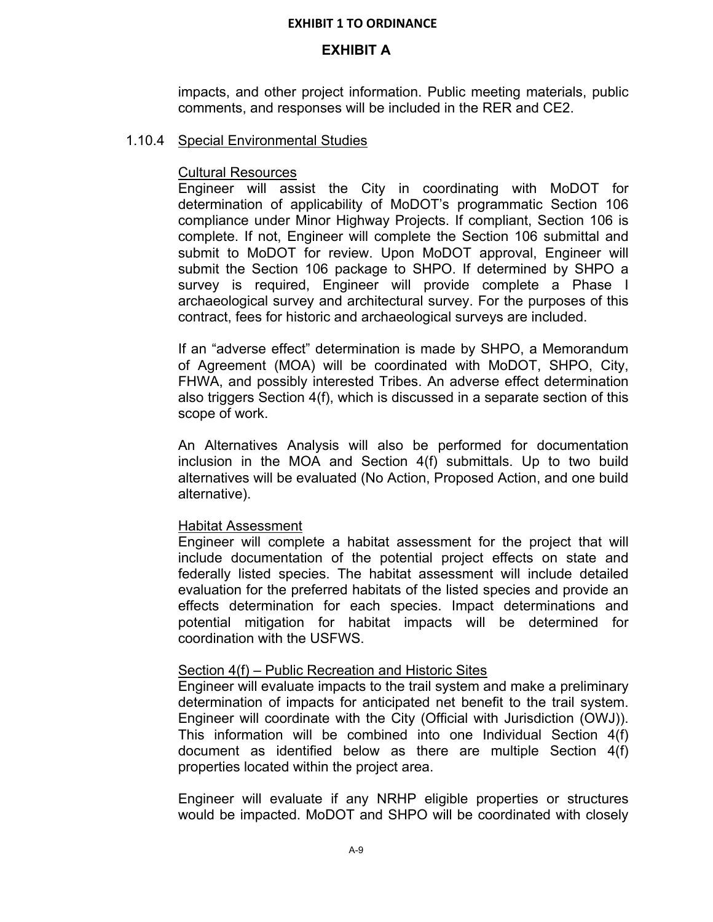### **EXHIBIT A**

impacts, and other project information. Public meeting materials, public comments, and responses will be included in the RER and CE2.

### 1.10.4 Special Environmental Studies

### Cultural Resources

Engineer will assist the City in coordinating with MoDOT for determination of applicability of MoDOT's programmatic Section 106 compliance under Minor Highway Projects. If compliant, Section 106 is complete. If not, Engineer will complete the Section 106 submittal and submit to MoDOT for review. Upon MoDOT approval, Engineer will submit the Section 106 package to SHPO. If determined by SHPO a survey is required, Engineer will provide complete a Phase I archaeological survey and architectural survey. For the purposes of this contract, fees for historic and archaeological surveys are included.

If an "adverse effect" determination is made by SHPO, a Memorandum of Agreement (MOA) will be coordinated with MoDOT, SHPO, City, FHWA, and possibly interested Tribes. An adverse effect determination also triggers Section 4(f), which is discussed in a separate section of this scope of work.

An Alternatives Analysis will also be performed for documentation inclusion in the MOA and Section 4(f) submittals. Up to two build alternatives will be evaluated (No Action, Proposed Action, and one build alternative).

### Habitat Assessment

Engineer will complete a habitat assessment for the project that will include documentation of the potential project effects on state and federally listed species. The habitat assessment will include detailed evaluation for the preferred habitats of the listed species and provide an effects determination for each species. Impact determinations and potential mitigation for habitat impacts will be determined for coordination with the USFWS.

### Section 4(f) – Public Recreation and Historic Sites

Engineer will evaluate impacts to the trail system and make a preliminary determination of impacts for anticipated net benefit to the trail system. Engineer will coordinate with the City (Official with Jurisdiction (OWJ)). This information will be combined into one Individual Section 4(f) document as identified below as there are multiple Section 4(f) properties located within the project area.

Engineer will evaluate if any NRHP eligible properties or structures would be impacted. MoDOT and SHPO will be coordinated with closely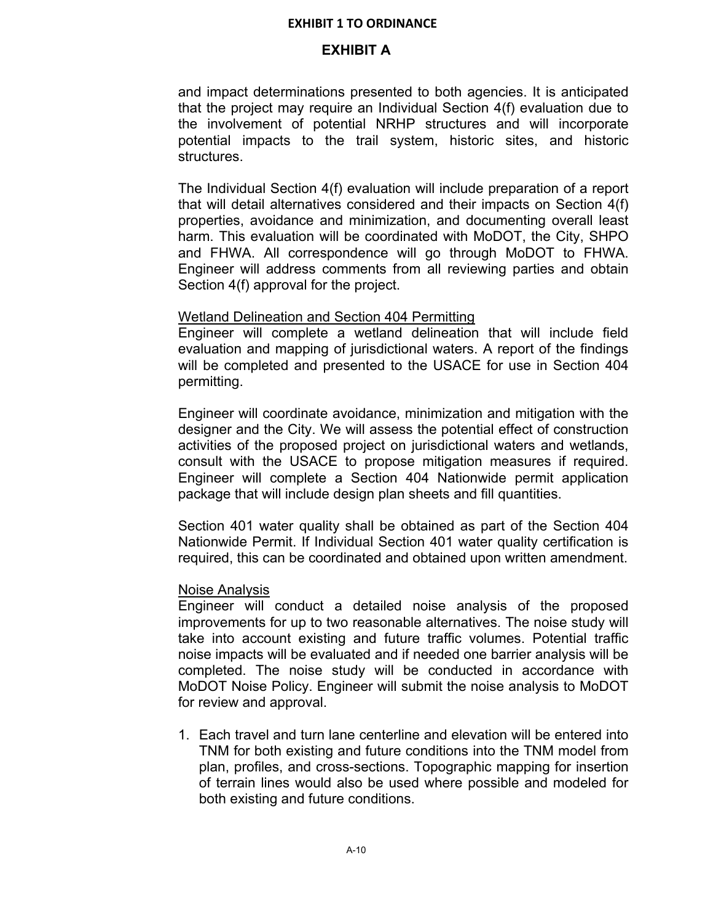### **EXHIBIT A**

and impact determinations presented to both agencies. It is anticipated that the project may require an Individual Section 4(f) evaluation due to the involvement of potential NRHP structures and will incorporate potential impacts to the trail system, historic sites, and historic structures.

The Individual Section 4(f) evaluation will include preparation of a report that will detail alternatives considered and their impacts on Section 4(f) properties, avoidance and minimization, and documenting overall least harm. This evaluation will be coordinated with MoDOT, the City, SHPO and FHWA. All correspondence will go through MoDOT to FHWA. Engineer will address comments from all reviewing parties and obtain Section 4(f) approval for the project.

#### Wetland Delineation and Section 404 Permitting

Engineer will complete a wetland delineation that will include field evaluation and mapping of jurisdictional waters. A report of the findings will be completed and presented to the USACE for use in Section 404 permitting.

Engineer will coordinate avoidance, minimization and mitigation with the designer and the City. We will assess the potential effect of construction activities of the proposed project on jurisdictional waters and wetlands, consult with the USACE to propose mitigation measures if required. Engineer will complete a Section 404 Nationwide permit application package that will include design plan sheets and fill quantities.

Section 401 water quality shall be obtained as part of the Section 404 Nationwide Permit. If Individual Section 401 water quality certification is required, this can be coordinated and obtained upon written amendment.

### Noise Analysis

Engineer will conduct a detailed noise analysis of the proposed improvements for up to two reasonable alternatives. The noise study will take into account existing and future traffic volumes. Potential traffic noise impacts will be evaluated and if needed one barrier analysis will be completed. The noise study will be conducted in accordance with MoDOT Noise Policy. Engineer will submit the noise analysis to MoDOT for review and approval.

1. Each travel and turn lane centerline and elevation will be entered into TNM for both existing and future conditions into the TNM model from plan, profiles, and cross-sections. Topographic mapping for insertion of terrain lines would also be used where possible and modeled for both existing and future conditions.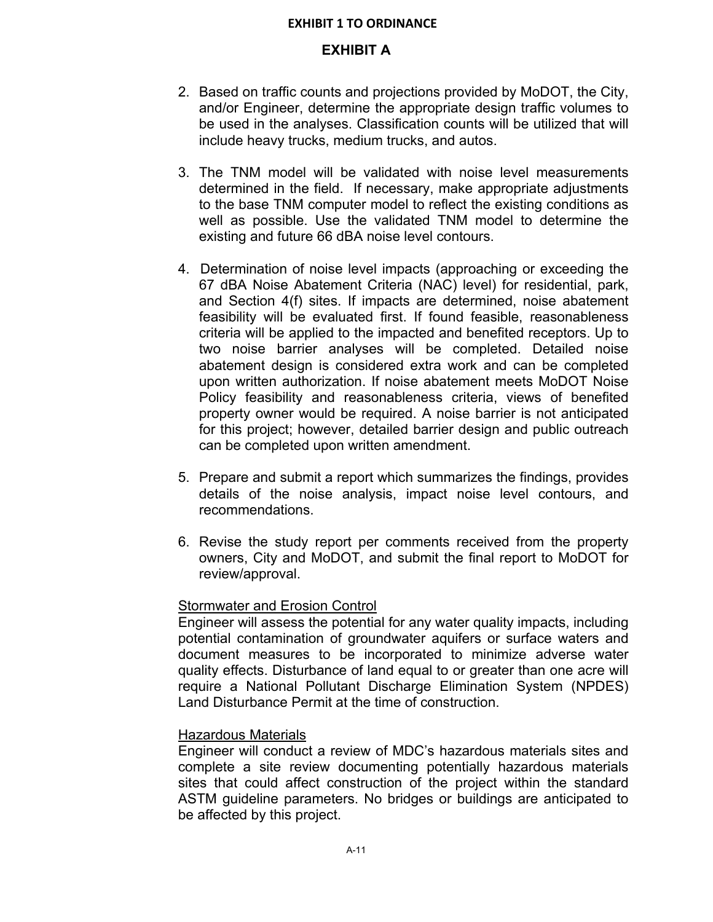### **EXHIBIT A**

- 2. Based on traffic counts and projections provided by MoDOT, the City, and/or Engineer, determine the appropriate design traffic volumes to be used in the analyses. Classification counts will be utilized that will include heavy trucks, medium trucks, and autos.
- 3. The TNM model will be validated with noise level measurements determined in the field. If necessary, make appropriate adjustments to the base TNM computer model to reflect the existing conditions as well as possible. Use the validated TNM model to determine the existing and future 66 dBA noise level contours.
- 4. Determination of noise level impacts (approaching or exceeding the 67 dBA Noise Abatement Criteria (NAC) level) for residential, park, and Section 4(f) sites. If impacts are determined, noise abatement feasibility will be evaluated first. If found feasible, reasonableness criteria will be applied to the impacted and benefited receptors. Up to two noise barrier analyses will be completed. Detailed noise abatement design is considered extra work and can be completed upon written authorization. If noise abatement meets MoDOT Noise Policy feasibility and reasonableness criteria, views of benefited property owner would be required. A noise barrier is not anticipated for this project; however, detailed barrier design and public outreach can be completed upon written amendment.
- 5. Prepare and submit a report which summarizes the findings, provides details of the noise analysis, impact noise level contours, and recommendations.
- 6. Revise the study report per comments received from the property owners, City and MoDOT, and submit the final report to MoDOT for review/approval.

### Stormwater and Erosion Control

Engineer will assess the potential for any water quality impacts, including potential contamination of groundwater aquifers or surface waters and document measures to be incorporated to minimize adverse water quality effects. Disturbance of land equal to or greater than one acre will require a National Pollutant Discharge Elimination System (NPDES) Land Disturbance Permit at the time of construction.

### Hazardous Materials

Engineer will conduct a review of MDC's hazardous materials sites and complete a site review documenting potentially hazardous materials sites that could affect construction of the project within the standard ASTM guideline parameters. No bridges or buildings are anticipated to be affected by this project.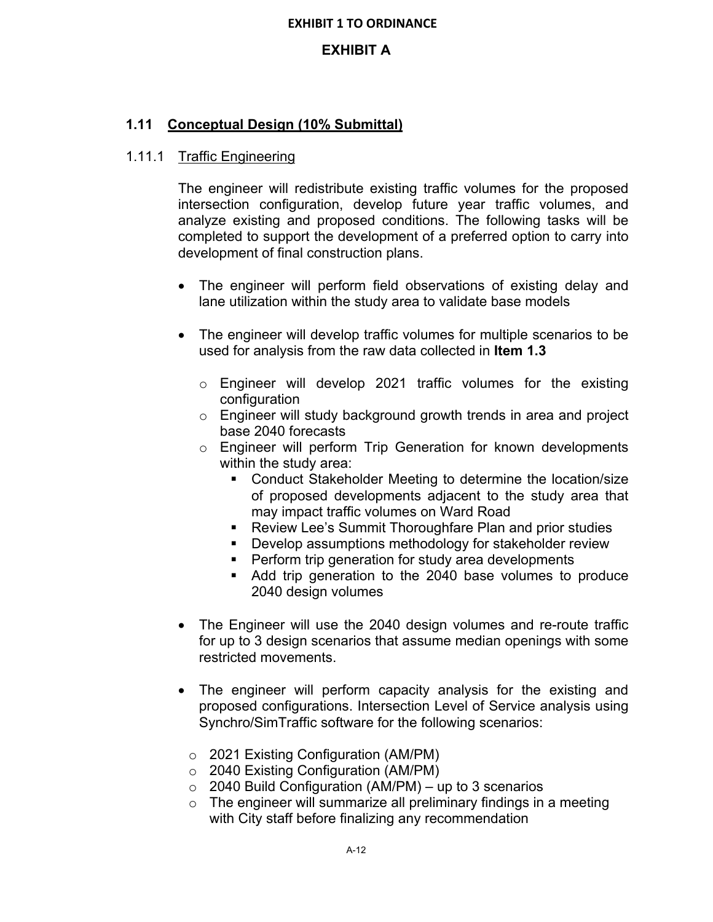# **EXHIBIT A**

# **1.11 Conceptual Design (10% Submittal)**

# 1.11.1 Traffic Engineering

The engineer will redistribute existing traffic volumes for the proposed intersection configuration, develop future year traffic volumes, and analyze existing and proposed conditions. The following tasks will be completed to support the development of a preferred option to carry into development of final construction plans.

- The engineer will perform field observations of existing delay and lane utilization within the study area to validate base models
- The engineer will develop traffic volumes for multiple scenarios to be used for analysis from the raw data collected in **Item 1.3**
	- o Engineer will develop 2021 traffic volumes for the existing configuration
	- o Engineer will study background growth trends in area and project base 2040 forecasts
	- o Engineer will perform Trip Generation for known developments within the study area:
		- Conduct Stakeholder Meeting to determine the location/size of proposed developments adjacent to the study area that may impact traffic volumes on Ward Road
		- **EXECT:** Review Lee's Summit Thoroughfare Plan and prior studies
		- **Develop assumptions methodology for stakeholder review**
		- **Perform trip generation for study area developments**
		- Add trip generation to the 2040 base volumes to produce 2040 design volumes
- The Engineer will use the 2040 design volumes and re-route traffic for up to 3 design scenarios that assume median openings with some restricted movements.
- The engineer will perform capacity analysis for the existing and proposed configurations. Intersection Level of Service analysis using Synchro/SimTraffic software for the following scenarios:
	- o 2021 Existing Configuration (AM/PM)
	- o 2040 Existing Configuration (AM/PM)
	- $\circ$  2040 Build Configuration (AM/PM) up to 3 scenarios
	- $\circ$  The engineer will summarize all preliminary findings in a meeting with City staff before finalizing any recommendation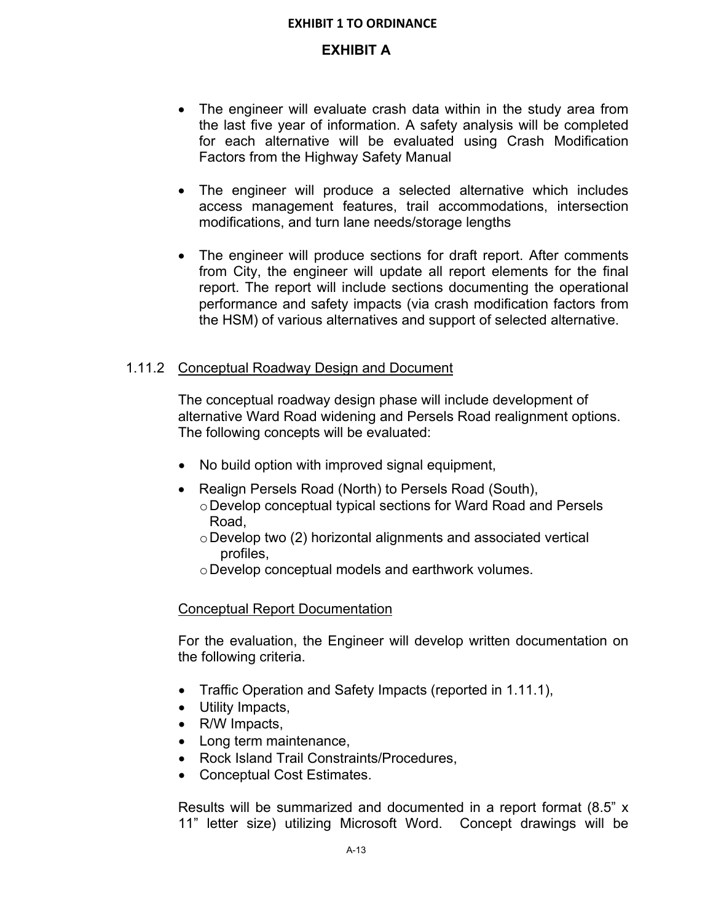## **EXHIBIT A**

- The engineer will evaluate crash data within in the study area from the last five year of information. A safety analysis will be completed for each alternative will be evaluated using Crash Modification Factors from the Highway Safety Manual
- The engineer will produce a selected alternative which includes access management features, trail accommodations, intersection modifications, and turn lane needs/storage lengths
- The engineer will produce sections for draft report. After comments from City, the engineer will update all report elements for the final report. The report will include sections documenting the operational performance and safety impacts (via crash modification factors from the HSM) of various alternatives and support of selected alternative.

### 1.11.2 Conceptual Roadway Design and Document

The conceptual roadway design phase will include development of alternative Ward Road widening and Persels Road realignment options. The following concepts will be evaluated:

- No build option with improved signal equipment,
- Realign Persels Road (North) to Persels Road (South),
	- o Develop conceptual typical sections for Ward Road and Persels Road,
	- o Develop two (2) horizontal alignments and associated vertical profiles,
	- o Develop conceptual models and earthwork volumes.

### Conceptual Report Documentation

For the evaluation, the Engineer will develop written documentation on the following criteria.

- Traffic Operation and Safety Impacts (reported in 1.11.1),
- Utility Impacts,
- R/W Impacts,
- Long term maintenance,
- Rock Island Trail Constraints/Procedures,
- Conceptual Cost Estimates.

Results will be summarized and documented in a report format (8.5" x 11" letter size) utilizing Microsoft Word. Concept drawings will be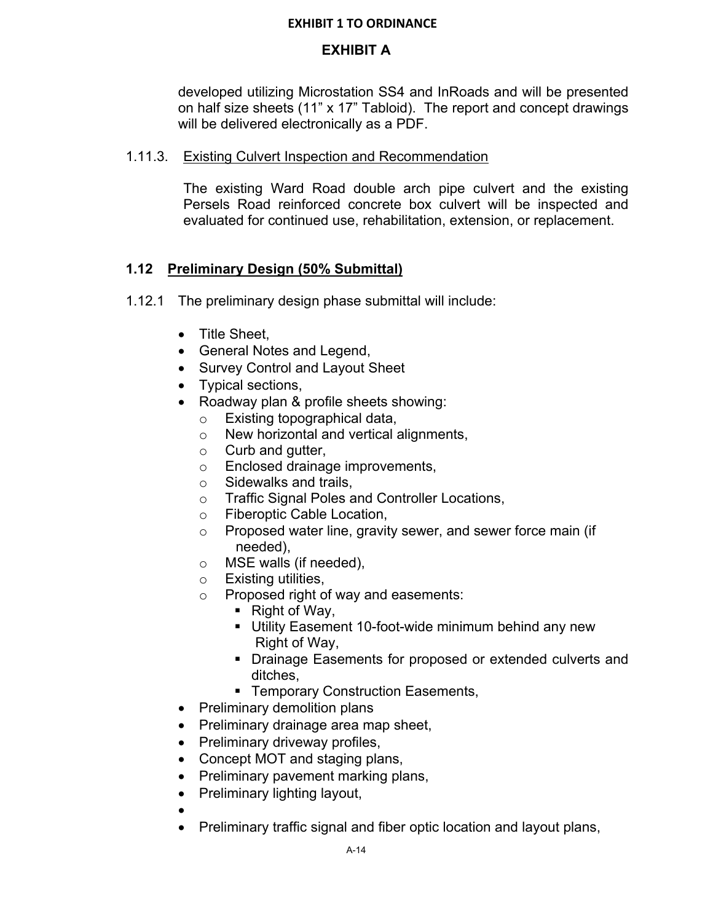# **EXHIBIT A**

developed utilizing Microstation SS4 and InRoads and will be presented on half size sheets (11" x 17" Tabloid). The report and concept drawings will be delivered electronically as a PDF.

## 1.11.3. Existing Culvert Inspection and Recommendation

The existing Ward Road double arch pipe culvert and the existing Persels Road reinforced concrete box culvert will be inspected and evaluated for continued use, rehabilitation, extension, or replacement.

# **1.12 Preliminary Design (50% Submittal)**

- 1.12.1 The preliminary design phase submittal will include:
	- Title Sheet.
	- General Notes and Legend,
	- Survey Control and Layout Sheet
	- Typical sections,
	- Roadway plan & profile sheets showing:
		- o Existing topographical data,
		- o New horizontal and vertical alignments,
		- o Curb and gutter,
		- o Enclosed drainage improvements,
		- o Sidewalks and trails,
		- o Traffic Signal Poles and Controller Locations,
		- o Fiberoptic Cable Location,
		- o Proposed water line, gravity sewer, and sewer force main (if needed),
		- o MSE walls (if needed),
		- o Existing utilities,
		- o Proposed right of way and easements:
			- Right of Way,
			- Utility Easement 10-foot-wide minimum behind any new Right of Way,
			- **Drainage Easements for proposed or extended culverts and** ditches,
			- **F** Temporary Construction Easements,
	- Preliminary demolition plans
	- Preliminary drainage area map sheet,
	- Preliminary driveway profiles,
	- Concept MOT and staging plans,
	- Preliminary pavement marking plans,
	- Preliminary lighting layout,
	- $\bullet$
	- Preliminary traffic signal and fiber optic location and layout plans,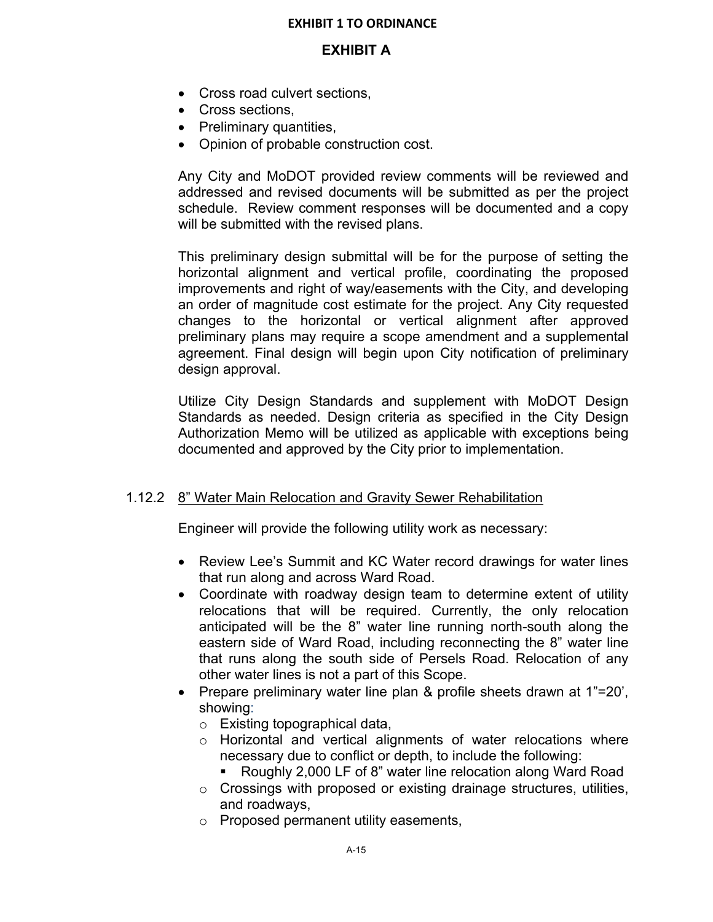## **EXHIBIT A**

- Cross road culvert sections,
- Cross sections,
- Preliminary quantities,
- Opinion of probable construction cost.

Any City and MoDOT provided review comments will be reviewed and addressed and revised documents will be submitted as per the project schedule. Review comment responses will be documented and a copy will be submitted with the revised plans.

This preliminary design submittal will be for the purpose of setting the horizontal alignment and vertical profile, coordinating the proposed improvements and right of way/easements with the City, and developing an order of magnitude cost estimate for the project. Any City requested changes to the horizontal or vertical alignment after approved preliminary plans may require a scope amendment and a supplemental agreement. Final design will begin upon City notification of preliminary design approval.

Utilize City Design Standards and supplement with MoDOT Design Standards as needed. Design criteria as specified in the City Design Authorization Memo will be utilized as applicable with exceptions being documented and approved by the City prior to implementation.

### 1.12.2 8" Water Main Relocation and Gravity Sewer Rehabilitation

Engineer will provide the following utility work as necessary:

- Review Lee's Summit and KC Water record drawings for water lines that run along and across Ward Road.
- Coordinate with roadway design team to determine extent of utility relocations that will be required. Currently, the only relocation anticipated will be the 8" water line running north-south along the eastern side of Ward Road, including reconnecting the 8" water line that runs along the south side of Persels Road. Relocation of any other water lines is not a part of this Scope.
- Prepare preliminary water line plan & profile sheets drawn at 1"=20', showing:
	- o Existing topographical data,
	- o Horizontal and vertical alignments of water relocations where necessary due to conflict or depth, to include the following:
		- Roughly 2,000 LF of 8" water line relocation along Ward Road
	- $\circ$  Crossings with proposed or existing drainage structures, utilities, and roadways,
	- o Proposed permanent utility easements,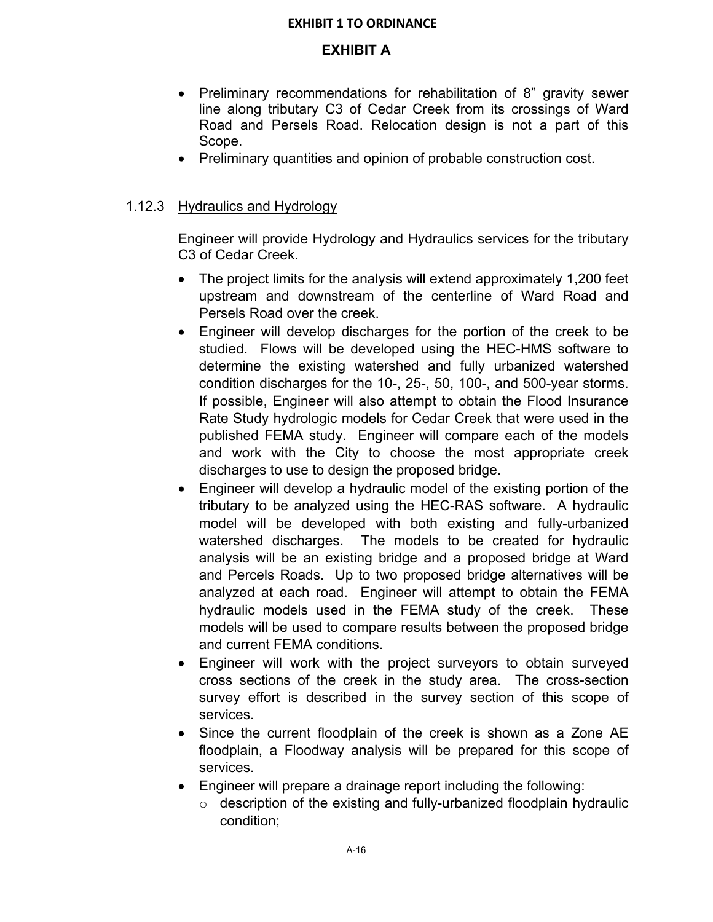# **EXHIBIT A**

- Preliminary recommendations for rehabilitation of 8" gravity sewer line along tributary C3 of Cedar Creek from its crossings of Ward Road and Persels Road. Relocation design is not a part of this Scope.
- Preliminary quantities and opinion of probable construction cost.

## 1.12.3 Hydraulics and Hydrology

Engineer will provide Hydrology and Hydraulics services for the tributary C3 of Cedar Creek.

- The project limits for the analysis will extend approximately 1,200 feet upstream and downstream of the centerline of Ward Road and Persels Road over the creek.
- Engineer will develop discharges for the portion of the creek to be studied. Flows will be developed using the HEC-HMS software to determine the existing watershed and fully urbanized watershed condition discharges for the 10-, 25-, 50, 100-, and 500-year storms. If possible, Engineer will also attempt to obtain the Flood Insurance Rate Study hydrologic models for Cedar Creek that were used in the published FEMA study. Engineer will compare each of the models and work with the City to choose the most appropriate creek discharges to use to design the proposed bridge.
- Engineer will develop a hydraulic model of the existing portion of the tributary to be analyzed using the HEC-RAS software. A hydraulic model will be developed with both existing and fully-urbanized watershed discharges. The models to be created for hydraulic analysis will be an existing bridge and a proposed bridge at Ward and Percels Roads. Up to two proposed bridge alternatives will be analyzed at each road. Engineer will attempt to obtain the FEMA hydraulic models used in the FEMA study of the creek. These models will be used to compare results between the proposed bridge and current FEMA conditions.
- Engineer will work with the project surveyors to obtain surveyed cross sections of the creek in the study area. The cross-section survey effort is described in the survey section of this scope of services.
- Since the current floodplain of the creek is shown as a Zone AE floodplain, a Floodway analysis will be prepared for this scope of services.
- Engineer will prepare a drainage report including the following:
	- $\circ$  description of the existing and fully-urbanized floodplain hydraulic condition;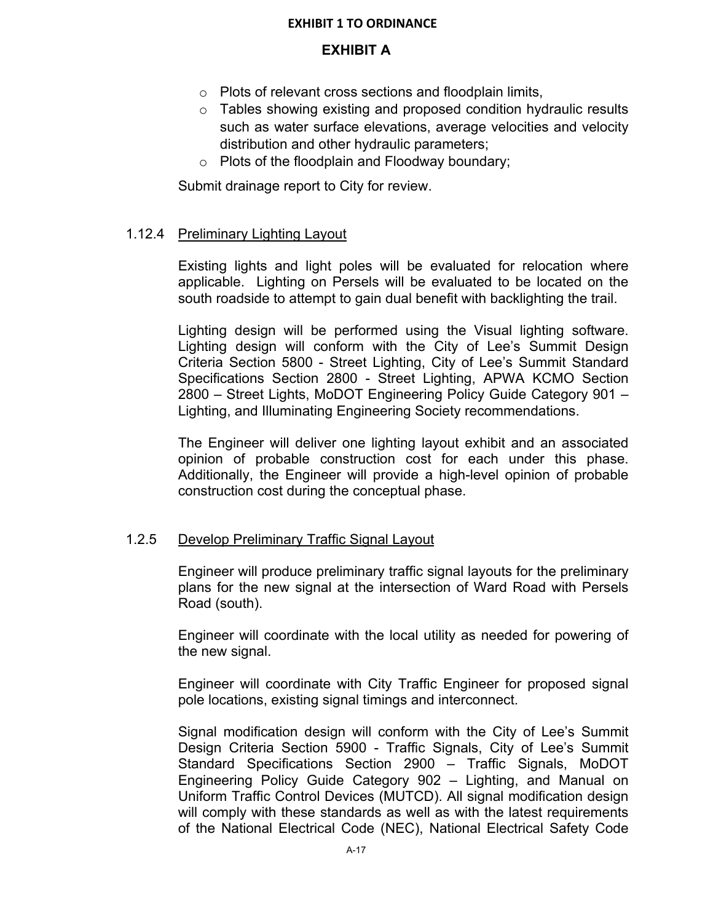## **EXHIBIT A**

- o Plots of relevant cross sections and floodplain limits,
- o Tables showing existing and proposed condition hydraulic results such as water surface elevations, average velocities and velocity distribution and other hydraulic parameters;
- o Plots of the floodplain and Floodway boundary;

Submit drainage report to City for review.

## 1.12.4 Preliminary Lighting Layout

Existing lights and light poles will be evaluated for relocation where applicable. Lighting on Persels will be evaluated to be located on the south roadside to attempt to gain dual benefit with backlighting the trail.

Lighting design will be performed using the Visual lighting software. Lighting design will conform with the City of Lee's Summit Design Criteria Section 5800 - Street Lighting, City of Lee's Summit Standard Specifications Section 2800 - Street Lighting, APWA KCMO Section 2800 – Street Lights, MoDOT Engineering Policy Guide Category 901 – Lighting, and Illuminating Engineering Society recommendations.

The Engineer will deliver one lighting layout exhibit and an associated opinion of probable construction cost for each under this phase. Additionally, the Engineer will provide a high-level opinion of probable construction cost during the conceptual phase.

### 1.2.5 Develop Preliminary Traffic Signal Layout

Engineer will produce preliminary traffic signal layouts for the preliminary plans for the new signal at the intersection of Ward Road with Persels Road (south).

Engineer will coordinate with the local utility as needed for powering of the new signal.

Engineer will coordinate with City Traffic Engineer for proposed signal pole locations, existing signal timings and interconnect.

Signal modification design will conform with the City of Lee's Summit Design Criteria Section 5900 - Traffic Signals, City of Lee's Summit Standard Specifications Section 2900 – Traffic Signals, MoDOT Engineering Policy Guide Category 902 – Lighting, and Manual on Uniform Traffic Control Devices (MUTCD). All signal modification design will comply with these standards as well as with the latest requirements of the National Electrical Code (NEC), National Electrical Safety Code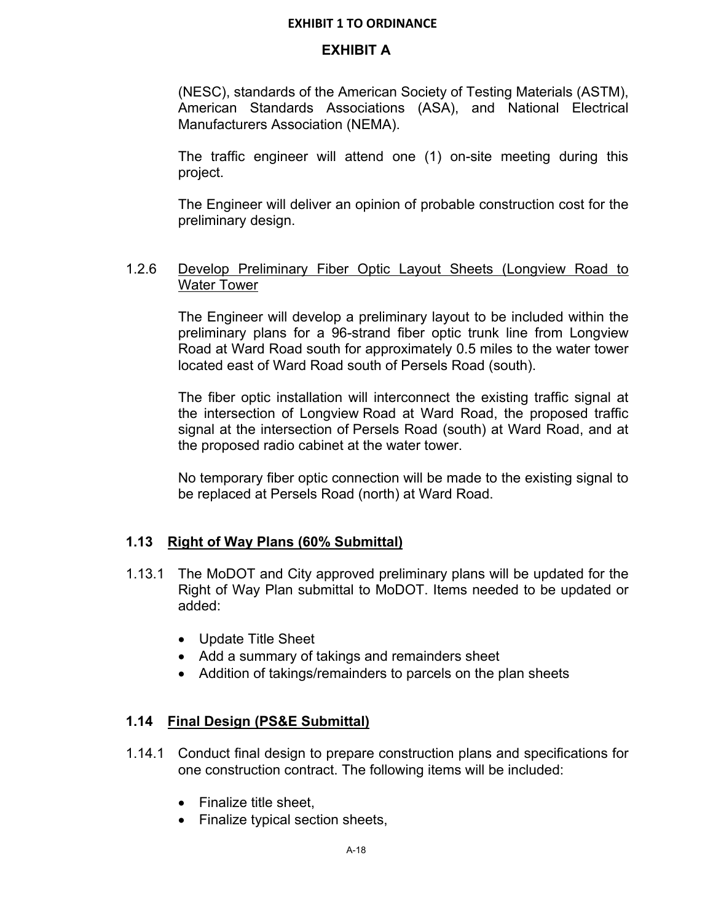### **EXHIBIT A**

(NESC), standards of the American Society of Testing Materials (ASTM), American Standards Associations (ASA), and National Electrical Manufacturers Association (NEMA).

The traffic engineer will attend one (1) on-site meeting during this project.

The Engineer will deliver an opinion of probable construction cost for the preliminary design.

### 1.2.6 Develop Preliminary Fiber Optic Layout Sheets (Longview Road to Water Tower

The Engineer will develop a preliminary layout to be included within the preliminary plans for a 96-strand fiber optic trunk line from Longview Road at Ward Road south for approximately 0.5 miles to the water tower located east of Ward Road south of Persels Road (south).

The fiber optic installation will interconnect the existing traffic signal at the intersection of Longview Road at Ward Road, the proposed traffic signal at the intersection of Persels Road (south) at Ward Road, and at the proposed radio cabinet at the water tower.

No temporary fiber optic connection will be made to the existing signal to be replaced at Persels Road (north) at Ward Road.

### **1.13 Right of Way Plans (60% Submittal)**

- 1.13.1 The MoDOT and City approved preliminary plans will be updated for the Right of Way Plan submittal to MoDOT. Items needed to be updated or added:
	- Update Title Sheet
	- Add a summary of takings and remainders sheet
	- Addition of takings/remainders to parcels on the plan sheets

### **1.14 Final Design (PS&E Submittal)**

- 1.14.1 Conduct final design to prepare construction plans and specifications for one construction contract. The following items will be included:
	- Finalize title sheet,
	- Finalize typical section sheets,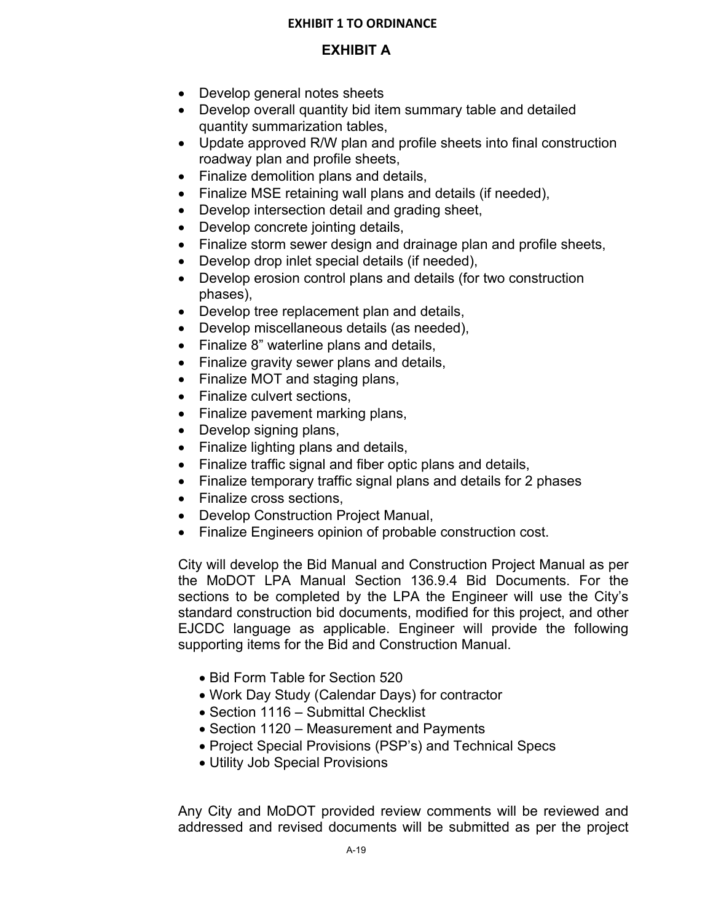# **EXHIBIT A**

- Develop general notes sheets
- Develop overall quantity bid item summary table and detailed quantity summarization tables,
- Update approved R/W plan and profile sheets into final construction roadway plan and profile sheets,
- Finalize demolition plans and details,
- Finalize MSE retaining wall plans and details (if needed),
- Develop intersection detail and grading sheet,
- Develop concrete jointing details,
- Finalize storm sewer design and drainage plan and profile sheets,
- Develop drop inlet special details (if needed),
- Develop erosion control plans and details (for two construction phases),
- Develop tree replacement plan and details,
- Develop miscellaneous details (as needed),
- Finalize 8" waterline plans and details,
- Finalize gravity sewer plans and details,
- Finalize MOT and staging plans,
- Finalize culvert sections.
- Finalize pavement marking plans,
- Develop signing plans,
- Finalize lighting plans and details,
- Finalize traffic signal and fiber optic plans and details,
- Finalize temporary traffic signal plans and details for 2 phases
- Finalize cross sections.
- Develop Construction Project Manual,
- Finalize Engineers opinion of probable construction cost.

City will develop the Bid Manual and Construction Project Manual as per the MoDOT LPA Manual Section 136.9.4 Bid Documents. For the sections to be completed by the LPA the Engineer will use the City's standard construction bid documents, modified for this project, and other EJCDC language as applicable. Engineer will provide the following supporting items for the Bid and Construction Manual.

- Bid Form Table for Section 520
- Work Day Study (Calendar Days) for contractor
- Section 1116 Submittal Checklist
- Section 1120 Measurement and Payments
- Project Special Provisions (PSP's) and Technical Specs
- Utility Job Special Provisions

Any City and MoDOT provided review comments will be reviewed and addressed and revised documents will be submitted as per the project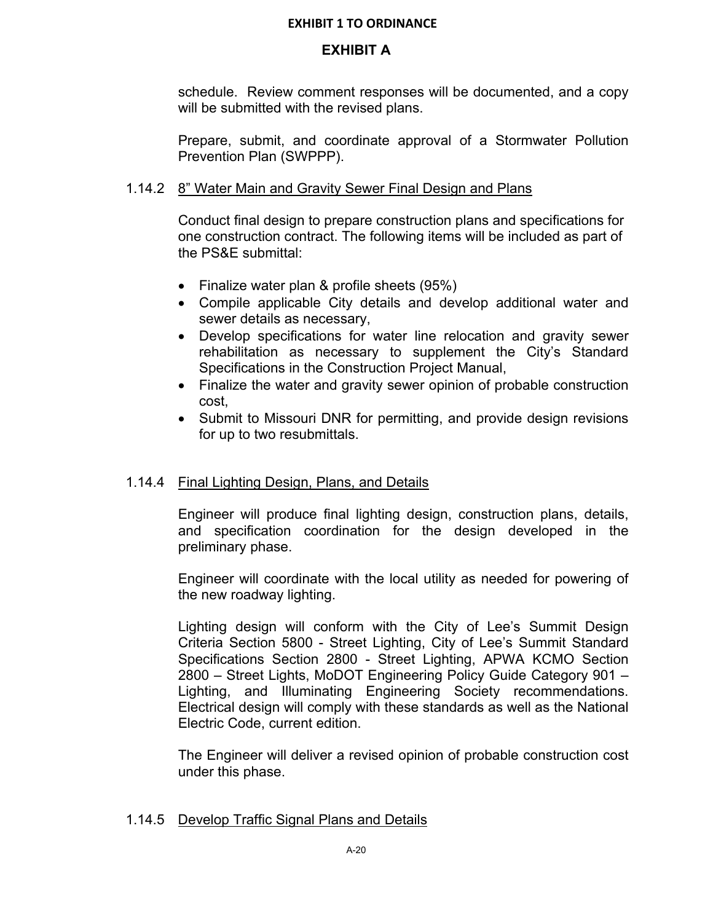## **EXHIBIT A**

schedule. Review comment responses will be documented, and a copy will be submitted with the revised plans.

Prepare, submit, and coordinate approval of a Stormwater Pollution Prevention Plan (SWPPP).

## 1.14.2 8" Water Main and Gravity Sewer Final Design and Plans

Conduct final design to prepare construction plans and specifications for one construction contract. The following items will be included as part of the PS&E submittal:

- Finalize water plan & profile sheets (95%)
- Compile applicable City details and develop additional water and sewer details as necessary,
- Develop specifications for water line relocation and gravity sewer rehabilitation as necessary to supplement the City's Standard Specifications in the Construction Project Manual,
- Finalize the water and gravity sewer opinion of probable construction cost,
- Submit to Missouri DNR for permitting, and provide design revisions for up to two resubmittals.

# 1.14.4 Final Lighting Design, Plans, and Details

Engineer will produce final lighting design, construction plans, details, and specification coordination for the design developed in the preliminary phase.

Engineer will coordinate with the local utility as needed for powering of the new roadway lighting.

Lighting design will conform with the City of Lee's Summit Design Criteria Section 5800 - Street Lighting, City of Lee's Summit Standard Specifications Section 2800 - Street Lighting, APWA KCMO Section 2800 – Street Lights, MoDOT Engineering Policy Guide Category 901 – Lighting, and Illuminating Engineering Society recommendations. Electrical design will comply with these standards as well as the National Electric Code, current edition.

The Engineer will deliver a revised opinion of probable construction cost under this phase.

### 1.14.5 Develop Traffic Signal Plans and Details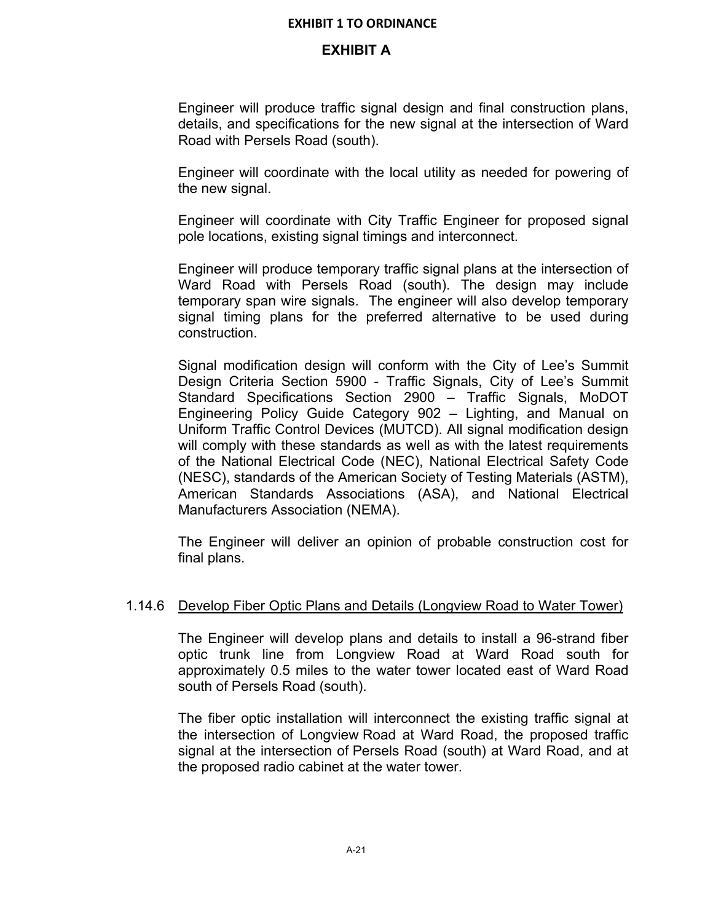## **EXHIBIT A**

Engineer will produce traffic signal design and final construction plans, details, and specifications for the new signal at the intersection of Ward Road with Persels Road (south).

Engineer will coordinate with the local utility as needed for powering of the new signal.

Engineer will coordinate with City Traffic Engineer for proposed signal pole locations, existing signal timings and interconnect.

Engineer will produce temporary traffic signal plans at the intersection of Ward Road with Persels Road (south). The design may include temporary span wire signals. The engineer will also develop temporary signal timing plans for the preferred alternative to be used during construction.

Signal modification design will conform with the City of Lee's Summit Design Criteria Section 5900 - Traffic Signals, City of Lee's Summit Standard Specifications Section 2900 – Traffic Signals, MoDOT Engineering Policy Guide Category 902 – Lighting, and Manual on Uniform Traffic Control Devices (MUTCD). All signal modification design will comply with these standards as well as with the latest requirements of the National Electrical Code (NEC), National Electrical Safety Code (NESC), standards of the American Society of Testing Materials (ASTM), American Standards Associations (ASA), and National Electrical Manufacturers Association (NEMA).

The Engineer will deliver an opinion of probable construction cost for final plans.

### 1.14.6 Develop Fiber Optic Plans and Details (Longview Road to Water Tower)

The Engineer will develop plans and details to install a 96-strand fiber optic trunk line from Longview Road at Ward Road south for approximately 0.5 miles to the water tower located east of Ward Road south of Persels Road (south).

The fiber optic installation will interconnect the existing traffic signal at the intersection of Longview Road at Ward Road, the proposed traffic signal at the intersection of Persels Road (south) at Ward Road, and at the proposed radio cabinet at the water tower.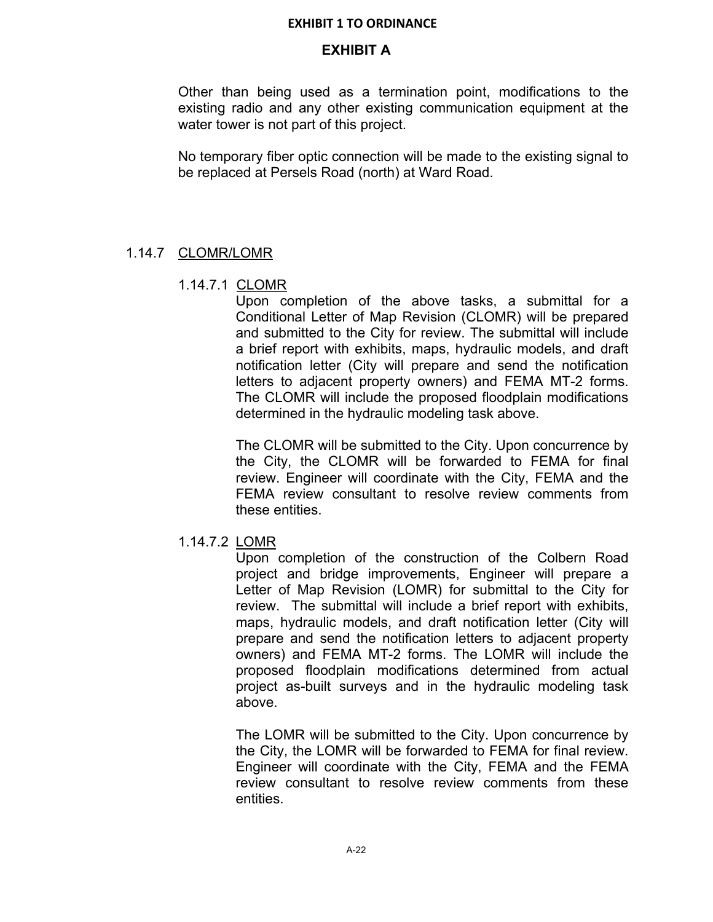## **EXHIBIT A**

Other than being used as a termination point, modifications to the existing radio and any other existing communication equipment at the water tower is not part of this project.

No temporary fiber optic connection will be made to the existing signal to be replaced at Persels Road (north) at Ward Road.

## 1.14.7 CLOMR/LOMR

### 1.14.7.1 CLOMR

Upon completion of the above tasks, a submittal for a Conditional Letter of Map Revision (CLOMR) will be prepared and submitted to the City for review. The submittal will include a brief report with exhibits, maps, hydraulic models, and draft notification letter (City will prepare and send the notification letters to adjacent property owners) and FEMA MT-2 forms. The CLOMR will include the proposed floodplain modifications determined in the hydraulic modeling task above.

The CLOMR will be submitted to the City. Upon concurrence by the City, the CLOMR will be forwarded to FEMA for final review. Engineer will coordinate with the City, FEMA and the FEMA review consultant to resolve review comments from these entities.

### 1.14.7.2 LOMR

Upon completion of the construction of the Colbern Road project and bridge improvements, Engineer will prepare a Letter of Map Revision (LOMR) for submittal to the City for review. The submittal will include a brief report with exhibits, maps, hydraulic models, and draft notification letter (City will prepare and send the notification letters to adjacent property owners) and FEMA MT-2 forms. The LOMR will include the proposed floodplain modifications determined from actual project as-built surveys and in the hydraulic modeling task above.

The LOMR will be submitted to the City. Upon concurrence by the City, the LOMR will be forwarded to FEMA for final review. Engineer will coordinate with the City, FEMA and the FEMA review consultant to resolve review comments from these entities.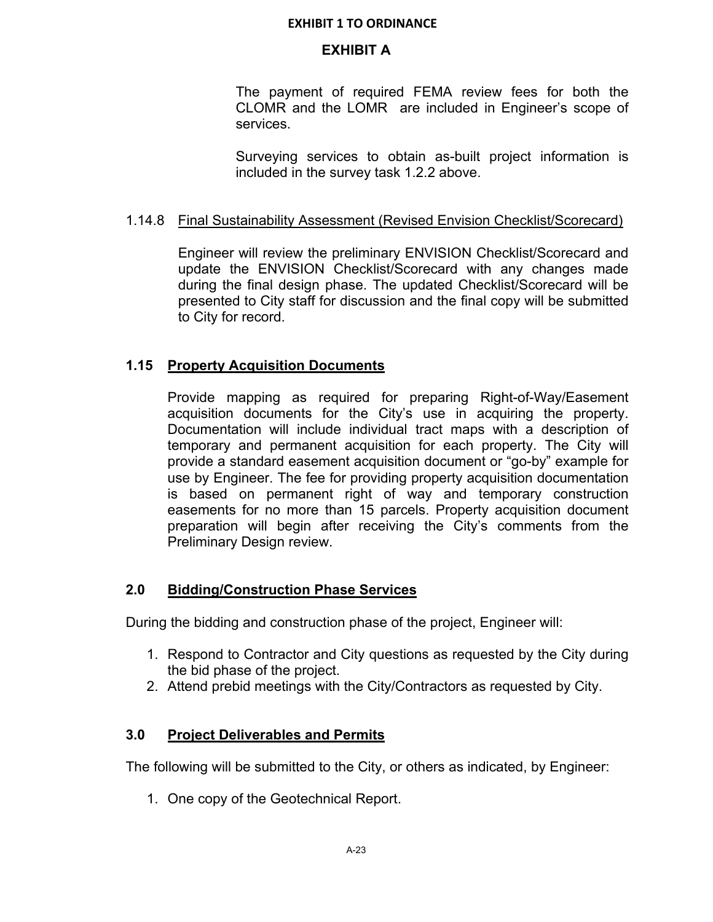## **EXHIBIT A**

The payment of required FEMA review fees for both the CLOMR and the LOMR are included in Engineer's scope of services.

Surveying services to obtain as-built project information is included in the survey task 1.2.2 above.

## 1.14.8 Final Sustainability Assessment (Revised Envision Checklist/Scorecard)

Engineer will review the preliminary ENVISION Checklist/Scorecard and update the ENVISION Checklist/Scorecard with any changes made during the final design phase. The updated Checklist/Scorecard will be presented to City staff for discussion and the final copy will be submitted to City for record.

## **1.15 Property Acquisition Documents**

Provide mapping as required for preparing Right-of-Way/Easement acquisition documents for the City's use in acquiring the property. Documentation will include individual tract maps with a description of temporary and permanent acquisition for each property. The City will provide a standard easement acquisition document or "go-by" example for use by Engineer. The fee for providing property acquisition documentation is based on permanent right of way and temporary construction easements for no more than 15 parcels. Property acquisition document preparation will begin after receiving the City's comments from the Preliminary Design review.

# **2.0 Bidding/Construction Phase Services**

During the bidding and construction phase of the project, Engineer will:

- 1. Respond to Contractor and City questions as requested by the City during the bid phase of the project.
- 2. Attend prebid meetings with the City/Contractors as requested by City.

# **3.0 Project Deliverables and Permits**

The following will be submitted to the City, or others as indicated, by Engineer:

1. One copy of the Geotechnical Report.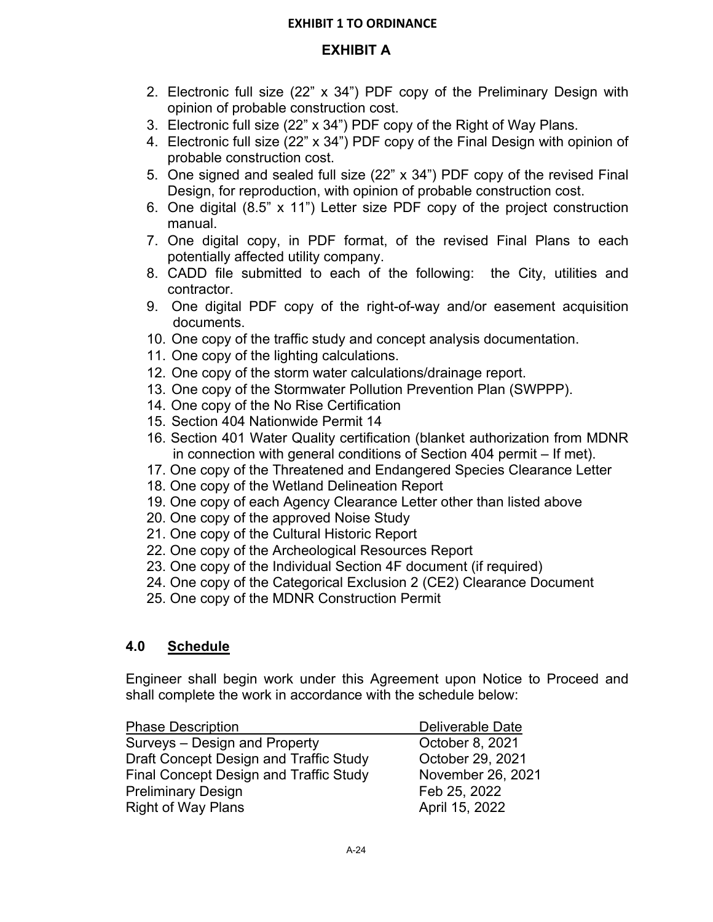# **EXHIBIT A**

- 2. Electronic full size (22" x 34") PDF copy of the Preliminary Design with opinion of probable construction cost.
- 3. Electronic full size (22" x 34") PDF copy of the Right of Way Plans.
- 4. Electronic full size (22" x 34") PDF copy of the Final Design with opinion of probable construction cost.
- 5. One signed and sealed full size (22" x 34") PDF copy of the revised Final Design, for reproduction, with opinion of probable construction cost.
- 6. One digital (8.5" x 11") Letter size PDF copy of the project construction manual.
- 7. One digital copy, in PDF format, of the revised Final Plans to each potentially affected utility company.
- 8. CADD file submitted to each of the following: the City, utilities and contractor.
- 9. One digital PDF copy of the right-of-way and/or easement acquisition documents.
- 10. One copy of the traffic study and concept analysis documentation.
- 11. One copy of the lighting calculations.
- 12. One copy of the storm water calculations/drainage report.
- 13. One copy of the Stormwater Pollution Prevention Plan (SWPPP).
- 14. One copy of the No Rise Certification
- 15. Section 404 Nationwide Permit 14
- 16. Section 401 Water Quality certification (blanket authorization from MDNR in connection with general conditions of Section 404 permit – If met).
- 17. One copy of the Threatened and Endangered Species Clearance Letter
- 18. One copy of the Wetland Delineation Report
- 19. One copy of each Agency Clearance Letter other than listed above
- 20. One copy of the approved Noise Study
- 21. One copy of the Cultural Historic Report
- 22. One copy of the Archeological Resources Report
- 23. One copy of the Individual Section 4F document (if required)
- 24. One copy of the Categorical Exclusion 2 (CE2) Clearance Document
- 25. One copy of the MDNR Construction Permit

# **4.0 Schedule**

Engineer shall begin work under this Agreement upon Notice to Proceed and shall complete the work in accordance with the schedule below:

| <b>Phase Description</b>               | Deliverable Date  |
|----------------------------------------|-------------------|
| Surveys - Design and Property          | October 8, 2021   |
| Draft Concept Design and Traffic Study | October 29, 2021  |
| Final Concept Design and Traffic Study | November 26, 2021 |
| <b>Preliminary Design</b>              | Feb 25, 2022      |
| <b>Right of Way Plans</b>              | April 15, 2022    |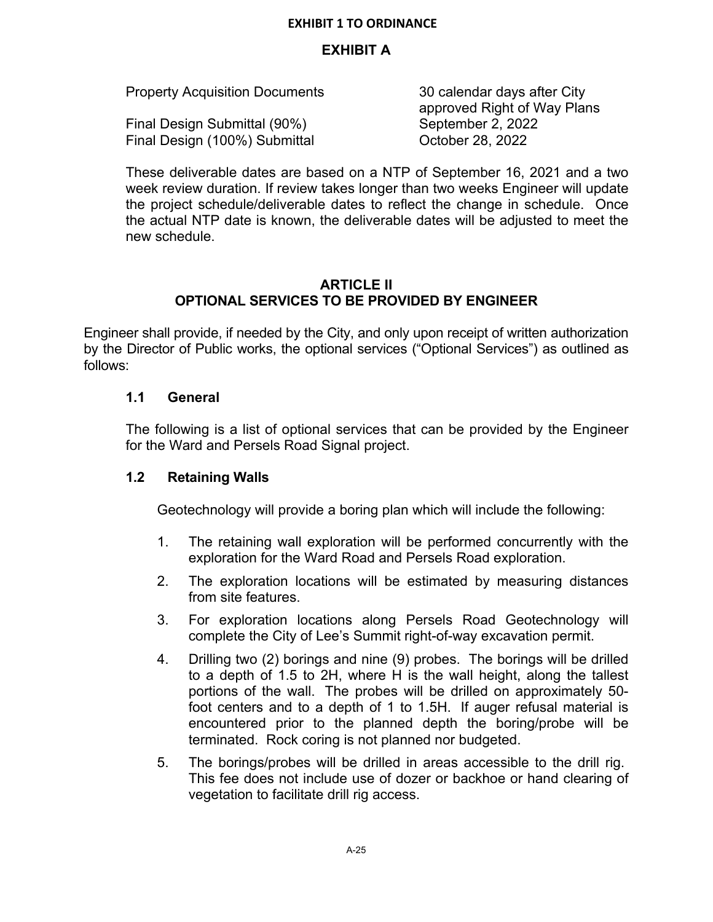### **EXHIBIT A**

| <b>Property Acquisition Documents</b> | 30 calendar days after City |  |
|---------------------------------------|-----------------------------|--|
|                                       | approved Right of Way Plans |  |
| Final Design Submittal (90%)          | September 2, 2022           |  |
| Final Design (100%) Submittal         | October 28, 2022            |  |

These deliverable dates are based on a NTP of September 16, 2021 and a two week review duration. If review takes longer than two weeks Engineer will update the project schedule/deliverable dates to reflect the change in schedule. Once the actual NTP date is known, the deliverable dates will be adjusted to meet the new schedule.

### **ARTICLE II OPTIONAL SERVICES TO BE PROVIDED BY ENGINEER**

Engineer shall provide, if needed by the City, and only upon receipt of written authorization by the Director of Public works, the optional services ("Optional Services") as outlined as follows:

### **1.1 General**

The following is a list of optional services that can be provided by the Engineer for the Ward and Persels Road Signal project.

### **1.2 Retaining Walls**

Geotechnology will provide a boring plan which will include the following:

- 1. The retaining wall exploration will be performed concurrently with the exploration for the Ward Road and Persels Road exploration.
- 2. The exploration locations will be estimated by measuring distances from site features.
- 3. For exploration locations along Persels Road Geotechnology will complete the City of Lee's Summit right-of-way excavation permit.
- 4. Drilling two (2) borings and nine (9) probes. The borings will be drilled to a depth of 1.5 to 2H, where H is the wall height, along the tallest portions of the wall. The probes will be drilled on approximately 50 foot centers and to a depth of 1 to 1.5H. If auger refusal material is encountered prior to the planned depth the boring/probe will be terminated. Rock coring is not planned nor budgeted.
- 5. The borings/probes will be drilled in areas accessible to the drill rig. This fee does not include use of dozer or backhoe or hand clearing of vegetation to facilitate drill rig access.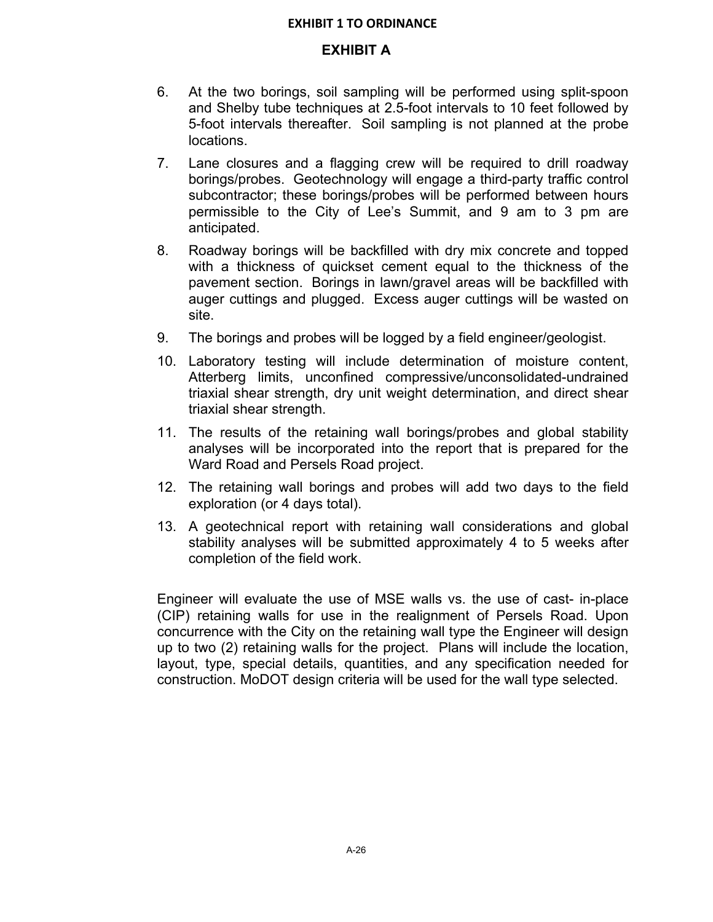### **EXHIBIT A**

- 6. At the two borings, soil sampling will be performed using split-spoon and Shelby tube techniques at 2.5-foot intervals to 10 feet followed by 5-foot intervals thereafter. Soil sampling is not planned at the probe locations.
- 7. Lane closures and a flagging crew will be required to drill roadway borings/probes. Geotechnology will engage a third-party traffic control subcontractor; these borings/probes will be performed between hours permissible to the City of Lee's Summit, and 9 am to 3 pm are anticipated.
- 8. Roadway borings will be backfilled with dry mix concrete and topped with a thickness of quickset cement equal to the thickness of the pavement section. Borings in lawn/gravel areas will be backfilled with auger cuttings and plugged. Excess auger cuttings will be wasted on site.
- 9. The borings and probes will be logged by a field engineer/geologist.
- 10. Laboratory testing will include determination of moisture content, Atterberg limits, unconfined compressive/unconsolidated-undrained triaxial shear strength, dry unit weight determination, and direct shear triaxial shear strength.
- 11. The results of the retaining wall borings/probes and global stability analyses will be incorporated into the report that is prepared for the Ward Road and Persels Road project.
- 12. The retaining wall borings and probes will add two days to the field exploration (or 4 days total).
- 13. A geotechnical report with retaining wall considerations and global stability analyses will be submitted approximately 4 to 5 weeks after completion of the field work.

Engineer will evaluate the use of MSE walls vs. the use of cast- in-place (CIP) retaining walls for use in the realignment of Persels Road. Upon concurrence with the City on the retaining wall type the Engineer will design up to two (2) retaining walls for the project. Plans will include the location, layout, type, special details, quantities, and any specification needed for construction. MoDOT design criteria will be used for the wall type selected.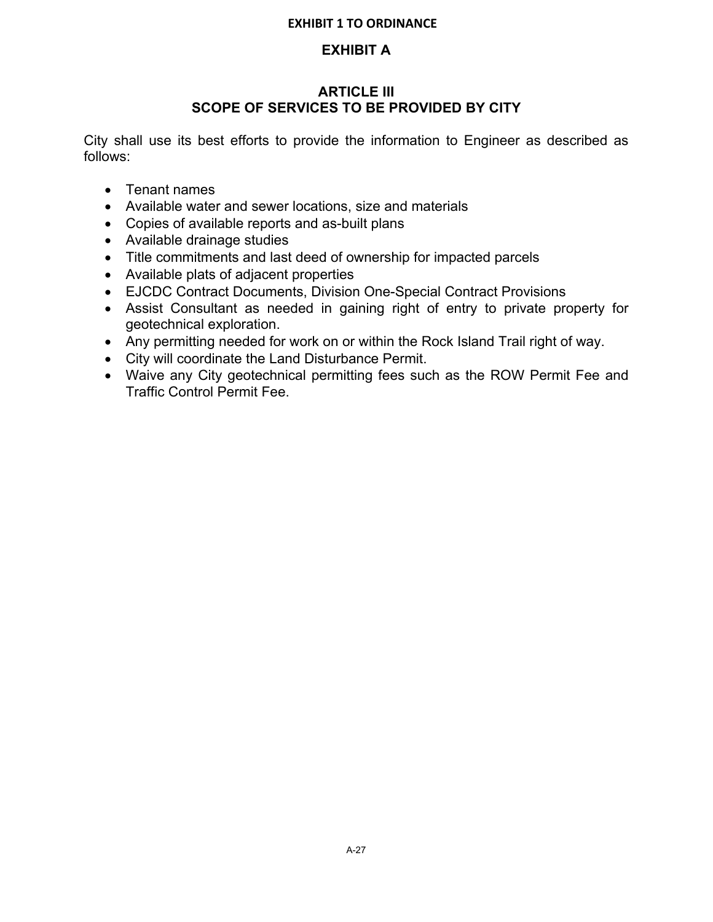# **EXHIBIT A**

## **ARTICLE III SCOPE OF SERVICES TO BE PROVIDED BY CITY**

City shall use its best efforts to provide the information to Engineer as described as follows:

- Tenant names
- Available water and sewer locations, size and materials
- Copies of available reports and as-built plans
- Available drainage studies
- Title commitments and last deed of ownership for impacted parcels
- Available plats of adjacent properties
- EJCDC Contract Documents, Division One-Special Contract Provisions
- Assist Consultant as needed in gaining right of entry to private property for geotechnical exploration.
- Any permitting needed for work on or within the Rock Island Trail right of way.
- City will coordinate the Land Disturbance Permit.
- Waive any City geotechnical permitting fees such as the ROW Permit Fee and Traffic Control Permit Fee.